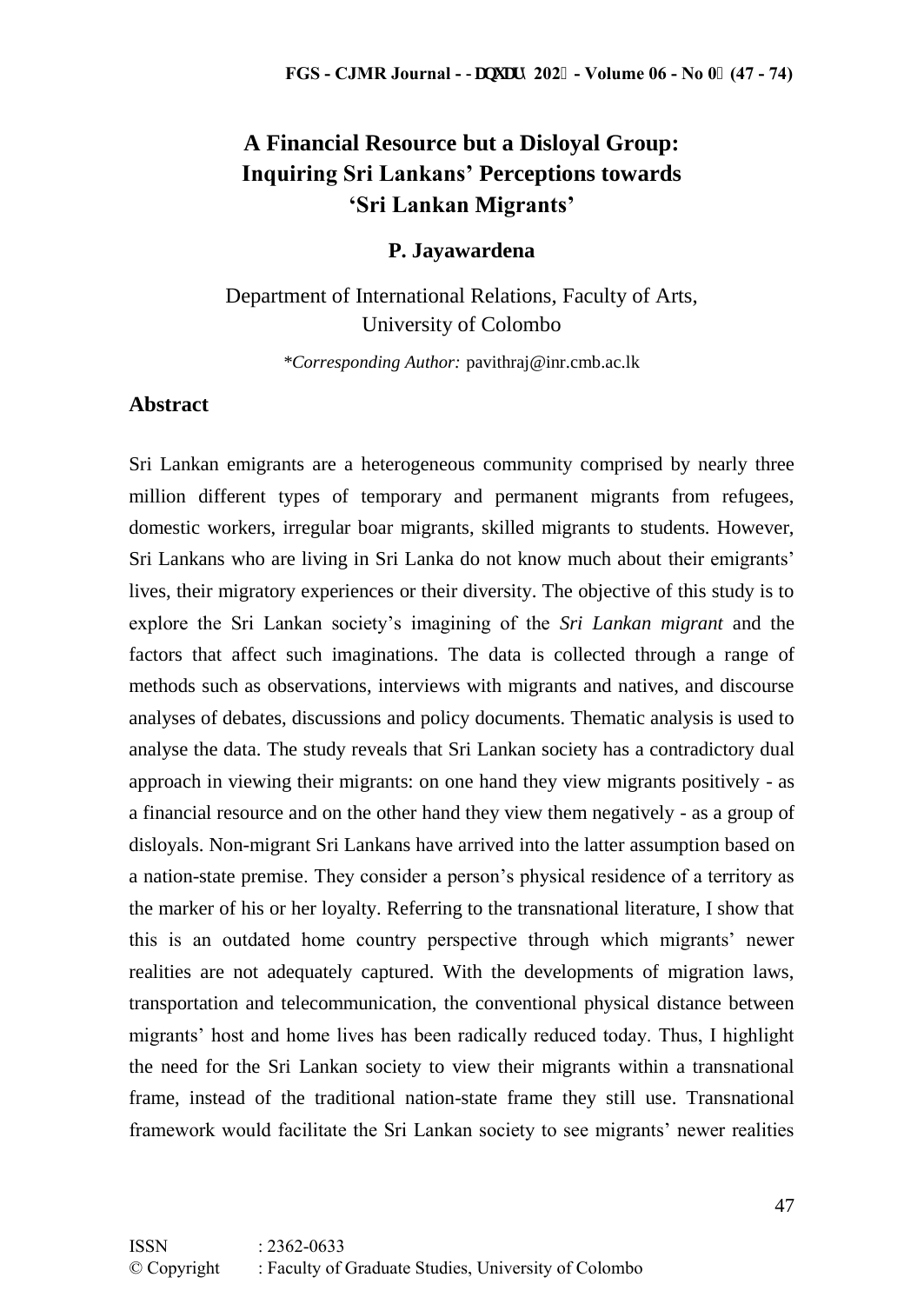# **A Financial Resource but a Disloyal Group: Inquiring Sri Lankans' Perceptions towards 'Sri Lankan Migrants'**

#### **P. Jayawardena**

## Department of International Relations, Faculty of Arts, University of Colombo

*\*Corresponding Author:* pavithraj@inr.cmb.ac.lk

### **Abstract**

Sri Lankan emigrants are a heterogeneous community comprised by nearly three million different types of temporary and permanent migrants from refugees, domestic workers, irregular boar migrants, skilled migrants to students. However, Sri Lankans who are living in Sri Lanka do not know much about their emigrants' lives, their migratory experiences or their diversity. The objective of this study is to explore the Sri Lankan society's imagining of the *Sri Lankan migrant* and the factors that affect such imaginations. The data is collected through a range of methods such as observations, interviews with migrants and natives, and discourse analyses of debates, discussions and policy documents. Thematic analysis is used to analyse the data. The study reveals that Sri Lankan society has a contradictory dual approach in viewing their migrants: on one hand they view migrants positively - as a financial resource and on the other hand they view them negatively - as a group of disloyals. Non-migrant Sri Lankans have arrived into the latter assumption based on a nation-state premise. They consider a person's physical residence of a territory as the marker of his or her loyalty. Referring to the transnational literature, I show that this is an outdated home country perspective through which migrants' newer realities are not adequately captured. With the developments of migration laws, transportation and telecommunication, the conventional physical distance between migrants' host and home lives has been radically reduced today. Thus, I highlight the need for the Sri Lankan society to view their migrants within a transnational frame, instead of the traditional nation-state frame they still use. Transnational framework would facilitate the Sri Lankan society to see migrants' newer realities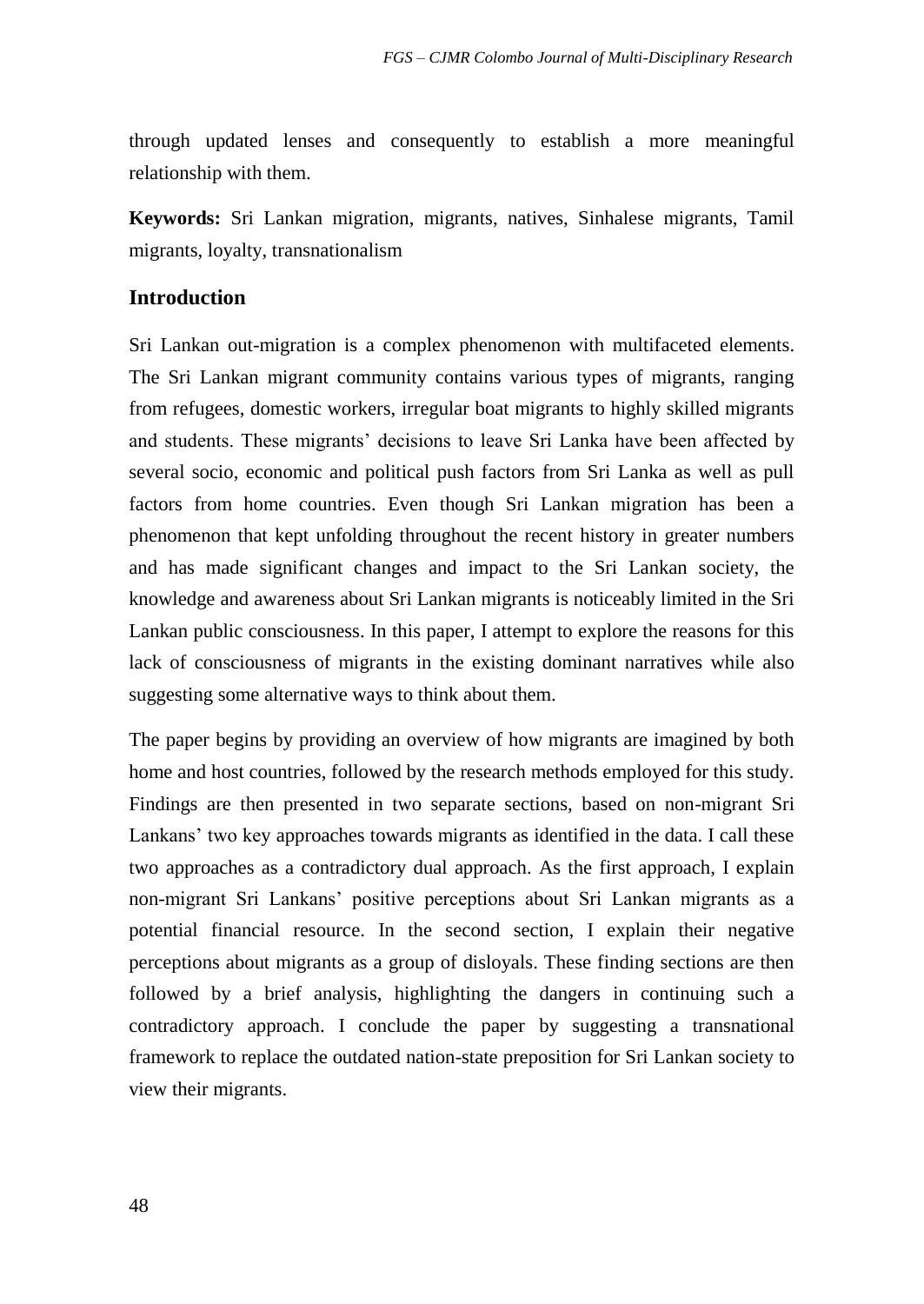through updated lenses and consequently to establish a more meaningful relationship with them.

**Keywords:** Sri Lankan migration, migrants, natives, Sinhalese migrants, Tamil migrants, loyalty, transnationalism

### **Introduction**

Sri Lankan out-migration is a complex phenomenon with multifaceted elements. The Sri Lankan migrant community contains various types of migrants, ranging from refugees, domestic workers, irregular boat migrants to highly skilled migrants and students. These migrants' decisions to leave Sri Lanka have been affected by several socio, economic and political push factors from Sri Lanka as well as pull factors from home countries. Even though Sri Lankan migration has been a phenomenon that kept unfolding throughout the recent history in greater numbers and has made significant changes and impact to the Sri Lankan society, the knowledge and awareness about Sri Lankan migrants is noticeably limited in the Sri Lankan public consciousness. In this paper, I attempt to explore the reasons for this lack of consciousness of migrants in the existing dominant narratives while also suggesting some alternative ways to think about them.

The paper begins by providing an overview of how migrants are imagined by both home and host countries, followed by the research methods employed for this study. Findings are then presented in two separate sections, based on non-migrant Sri Lankans' two key approaches towards migrants as identified in the data. I call these two approaches as a contradictory dual approach. As the first approach, I explain non-migrant Sri Lankans' positive perceptions about Sri Lankan migrants as a potential financial resource. In the second section, I explain their negative perceptions about migrants as a group of disloyals. These finding sections are then followed by a brief analysis, highlighting the dangers in continuing such a contradictory approach. I conclude the paper by suggesting a transnational framework to replace the outdated nation-state preposition for Sri Lankan society to view their migrants.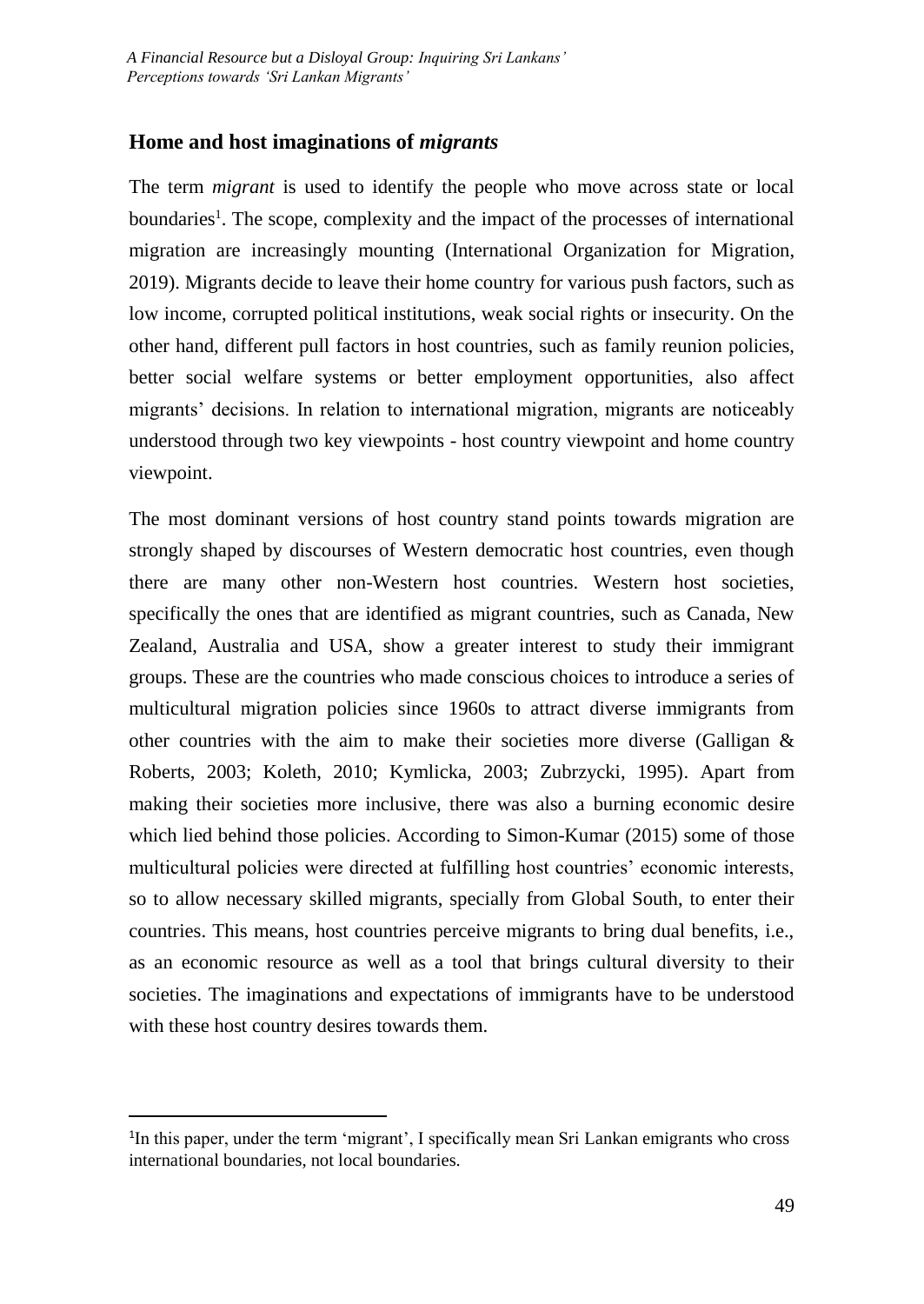### **Home and host imaginations of** *migrants*

The term *migrant* is used to identify the people who move across state or local boundaries<sup>1</sup>. The scope, complexity and the impact of the processes of international migration are increasingly mounting (International Organization for Migration, 2019). Migrants decide to leave their home country for various push factors, such as low income, corrupted political institutions, weak social rights or insecurity. On the other hand, different pull factors in host countries, such as family reunion policies, better social welfare systems or better employment opportunities, also affect migrants' decisions. In relation to international migration, migrants are noticeably understood through two key viewpoints - host country viewpoint and home country viewpoint.

The most dominant versions of host country stand points towards migration are strongly shaped by discourses of Western democratic host countries, even though there are many other non-Western host countries. Western host societies, specifically the ones that are identified as migrant countries, such as Canada, New Zealand, Australia and USA, show a greater interest to study their immigrant groups. These are the countries who made conscious choices to introduce a series of multicultural migration policies since 1960s to attract diverse immigrants from other countries with the aim to make their societies more diverse (Galligan & Roberts, 2003; Koleth, 2010; Kymlicka, 2003; Zubrzycki, 1995). Apart from making their societies more inclusive, there was also a burning economic desire which lied behind those policies. According to Simon-Kumar (2015) some of those multicultural policies were directed at fulfilling host countries' economic interests, so to allow necessary skilled migrants, specially from Global South, to enter their countries. This means, host countries perceive migrants to bring dual benefits, i.e., as an economic resource as well as a tool that brings cultural diversity to their societies. The imaginations and expectations of immigrants have to be understood with these host country desires towards them.

 $\overline{\phantom{a}}$ 

<sup>&</sup>lt;sup>1</sup>In this paper, under the term 'migrant', I specifically mean Sri Lankan emigrants who cross international boundaries, not local boundaries.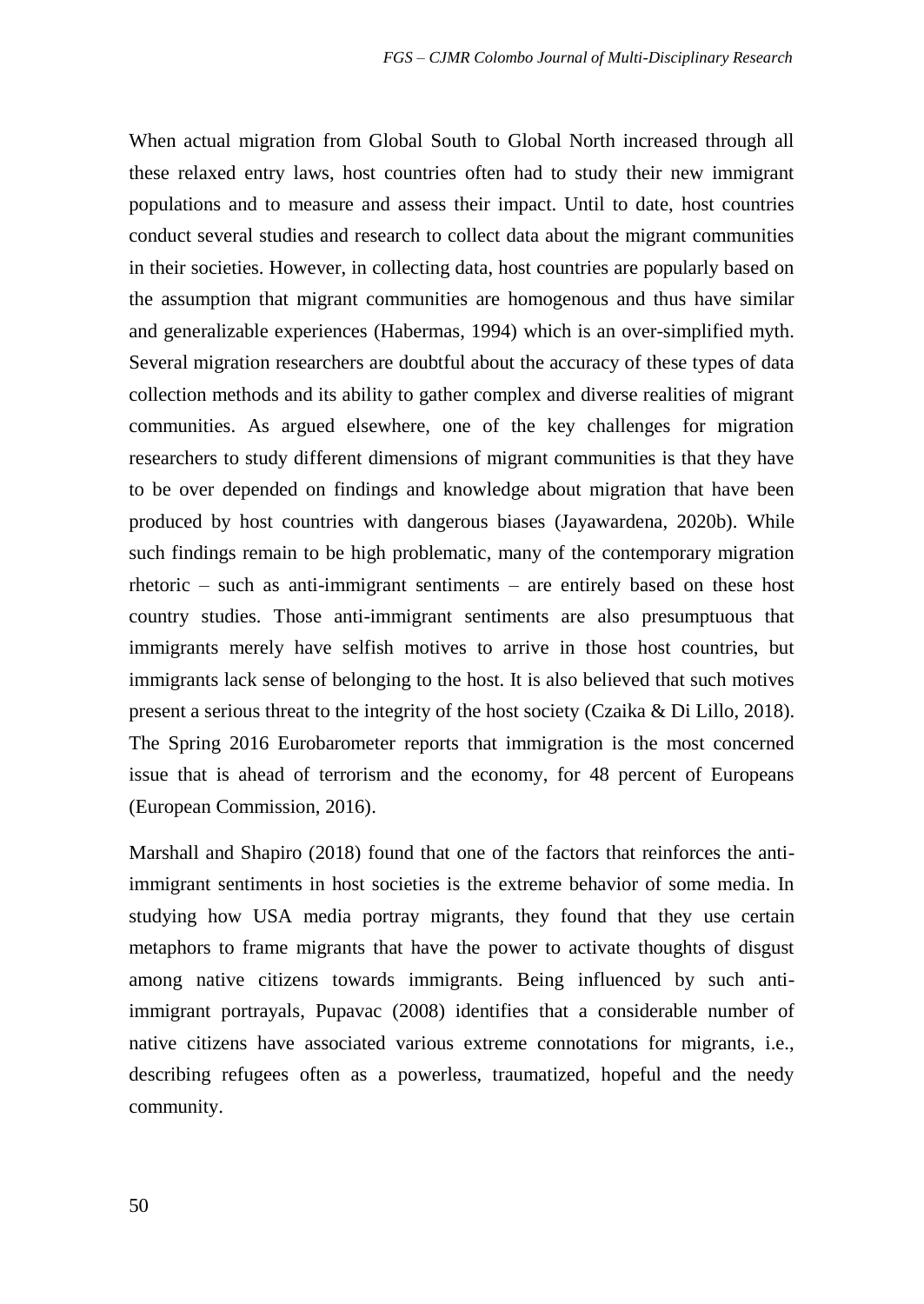When actual migration from Global South to Global North increased through all these relaxed entry laws, host countries often had to study their new immigrant populations and to measure and assess their impact. Until to date, host countries conduct several studies and research to collect data about the migrant communities in their societies. However, in collecting data, host countries are popularly based on the assumption that migrant communities are homogenous and thus have similar and generalizable experiences (Habermas, 1994) which is an over-simplified myth. Several migration researchers are doubtful about the accuracy of these types of data collection methods and its ability to gather complex and diverse realities of migrant communities. As argued elsewhere, one of the key challenges for migration researchers to study different dimensions of migrant communities is that they have to be over depended on findings and knowledge about migration that have been produced by host countries with dangerous biases (Jayawardena, 2020b). While such findings remain to be high problematic, many of the contemporary migration rhetoric – such as anti-immigrant sentiments – are entirely based on these host country studies. Those anti-immigrant sentiments are also presumptuous that immigrants merely have selfish motives to arrive in those host countries, but immigrants lack sense of belonging to the host. It is also believed that such motives present a serious threat to the integrity of the host society (Czaika & Di Lillo, 2018). The Spring 2016 Eurobarometer reports that immigration is the most concerned issue that is ahead of terrorism and the economy, for 48 percent of Europeans (European Commission, 2016).

Marshall and Shapiro (2018) found that one of the factors that reinforces the antiimmigrant sentiments in host societies is the extreme behavior of some media. In studying how USA media portray migrants, they found that they use certain metaphors to frame migrants that have the power to activate thoughts of disgust among native citizens towards immigrants. Being influenced by such antiimmigrant portrayals, Pupavac (2008) identifies that a considerable number of native citizens have associated various extreme connotations for migrants, i.e., describing refugees often as a powerless, traumatized, hopeful and the needy community.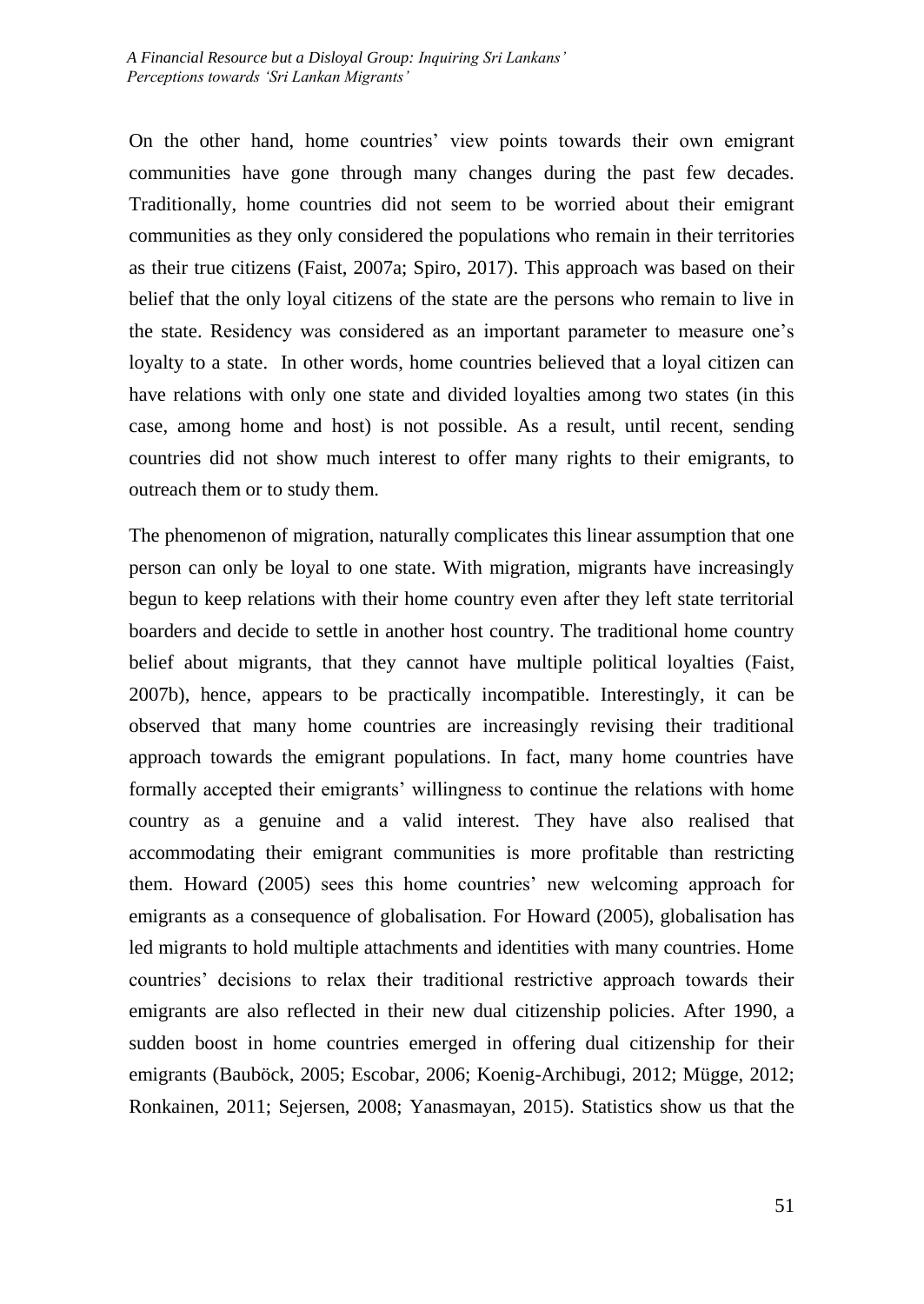On the other hand, home countries' view points towards their own emigrant communities have gone through many changes during the past few decades. Traditionally, home countries did not seem to be worried about their emigrant communities as they only considered the populations who remain in their territories as their true citizens (Faist, 2007a; Spiro, 2017). This approach was based on their belief that the only loyal citizens of the state are the persons who remain to live in the state. Residency was considered as an important parameter to measure one's loyalty to a state. In other words, home countries believed that a loyal citizen can have relations with only one state and divided loyalties among two states (in this case, among home and host) is not possible. As a result, until recent, sending countries did not show much interest to offer many rights to their emigrants, to outreach them or to study them.

The phenomenon of migration, naturally complicates this linear assumption that one person can only be loyal to one state. With migration, migrants have increasingly begun to keep relations with their home country even after they left state territorial boarders and decide to settle in another host country. The traditional home country belief about migrants, that they cannot have multiple political loyalties (Faist, 2007b), hence, appears to be practically incompatible. Interestingly, it can be observed that many home countries are increasingly revising their traditional approach towards the emigrant populations. In fact, many home countries have formally accepted their emigrants' willingness to continue the relations with home country as a genuine and a valid interest. They have also realised that accommodating their emigrant communities is more profitable than restricting them. Howard (2005) sees this home countries' new welcoming approach for emigrants as a consequence of globalisation. For Howard (2005), globalisation has led migrants to hold multiple attachments and identities with many countries. Home countries' decisions to relax their traditional restrictive approach towards their emigrants are also reflected in their new dual citizenship policies. After 1990, a sudden boost in home countries emerged in offering dual citizenship for their emigrants (Bauböck, 2005; Escobar, 2006; Koenig-Archibugi, 2012; Mügge, 2012; Ronkainen, 2011; Sejersen, 2008; Yanasmayan, 2015). Statistics show us that the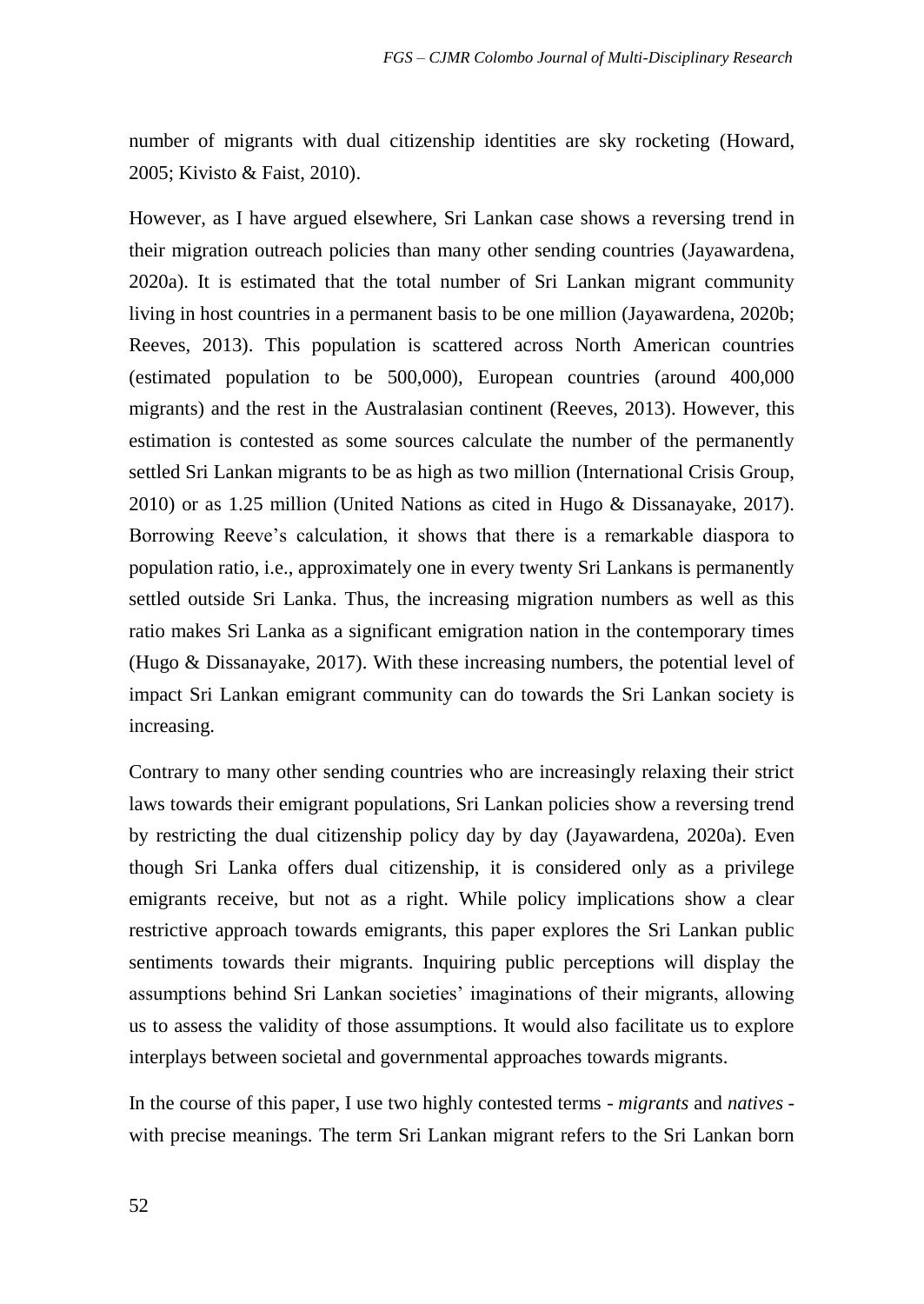number of migrants with dual citizenship identities are sky rocketing (Howard, 2005; Kivisto & Faist, 2010).

However, as I have argued elsewhere, Sri Lankan case shows a reversing trend in their migration outreach policies than many other sending countries (Jayawardena, 2020a). It is estimated that the total number of Sri Lankan migrant community living in host countries in a permanent basis to be one million (Jayawardena, 2020b; Reeves, 2013). This population is scattered across North American countries (estimated population to be 500,000), European countries (around 400,000 migrants) and the rest in the Australasian continent (Reeves, 2013). However, this estimation is contested as some sources calculate the number of the permanently settled Sri Lankan migrants to be as high as two million (International Crisis Group, 2010) or as 1.25 million (United Nations as cited in Hugo & Dissanayake, 2017). Borrowing Reeve's calculation, it shows that there is a remarkable diaspora to population ratio, i.e., approximately one in every twenty Sri Lankans is permanently settled outside Sri Lanka. Thus, the increasing migration numbers as well as this ratio makes Sri Lanka as a significant emigration nation in the contemporary times (Hugo & Dissanayake, 2017). With these increasing numbers, the potential level of impact Sri Lankan emigrant community can do towards the Sri Lankan society is increasing.

Contrary to many other sending countries who are increasingly relaxing their strict laws towards their emigrant populations, Sri Lankan policies show a reversing trend by restricting the dual citizenship policy day by day (Jayawardena, 2020a). Even though Sri Lanka offers dual citizenship, it is considered only as a privilege emigrants receive, but not as a right. While policy implications show a clear restrictive approach towards emigrants, this paper explores the Sri Lankan public sentiments towards their migrants. Inquiring public perceptions will display the assumptions behind Sri Lankan societies' imaginations of their migrants, allowing us to assess the validity of those assumptions. It would also facilitate us to explore interplays between societal and governmental approaches towards migrants.

In the course of this paper, I use two highly contested terms - *migrants* and *natives*  with precise meanings. The term Sri Lankan migrant refers to the Sri Lankan born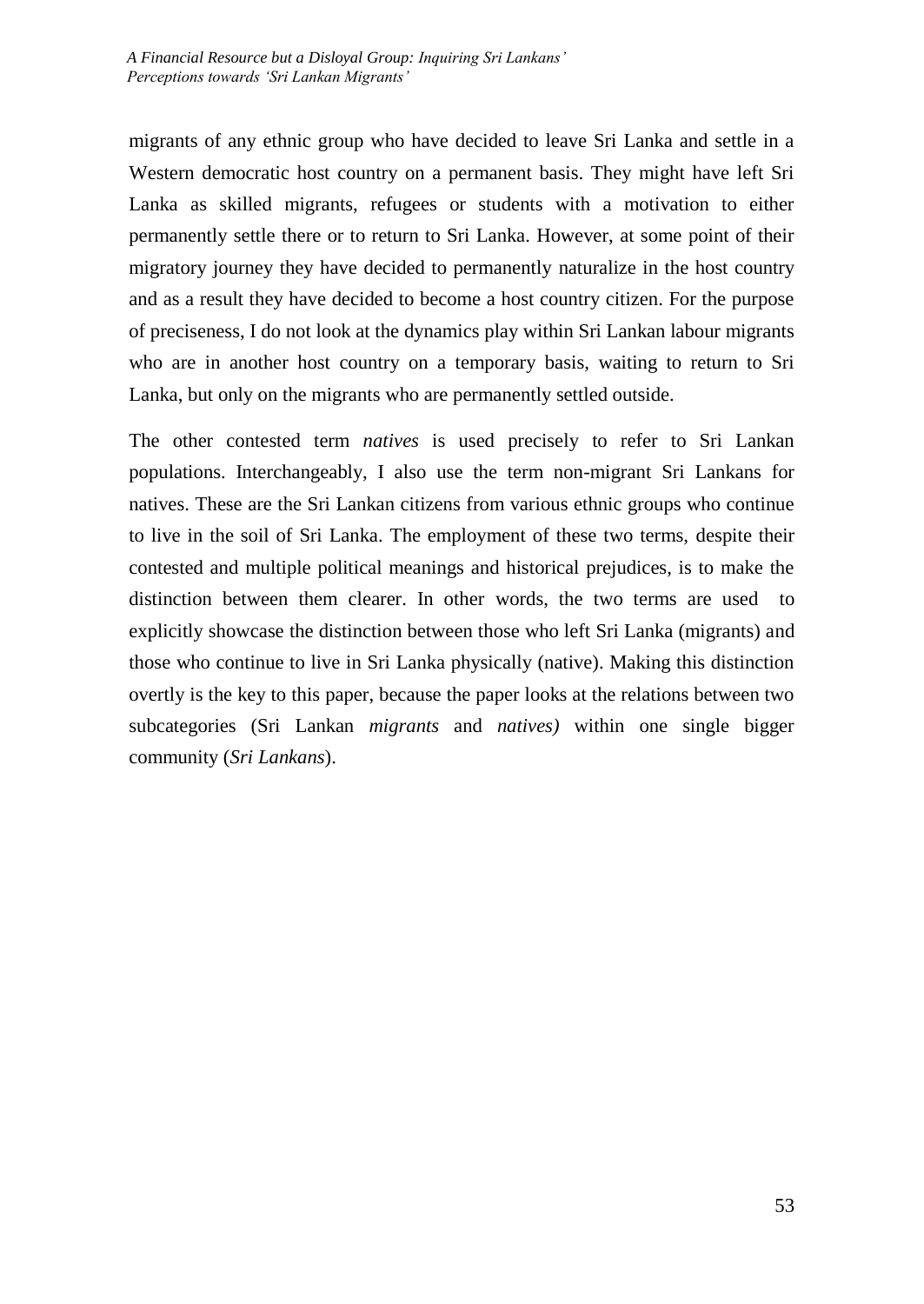migrants of any ethnic group who have decided to leave Sri Lanka and settle in a Western democratic host country on a permanent basis. They might have left Sri Lanka as skilled migrants, refugees or students with a motivation to either permanently settle there or to return to Sri Lanka. However, at some point of their migratory journey they have decided to permanently naturalize in the host country and as a result they have decided to become a host country citizen. For the purpose of preciseness, I do not look at the dynamics play within Sri Lankan labour migrants who are in another host country on a temporary basis, waiting to return to Sri Lanka, but only on the migrants who are permanently settled outside.

The other contested term *natives* is used precisely to refer to Sri Lankan populations. Interchangeably, I also use the term non-migrant Sri Lankans for natives. These are the Sri Lankan citizens from various ethnic groups who continue to live in the soil of Sri Lanka. The employment of these two terms, despite their contested and multiple political meanings and historical prejudices, is to make the distinction between them clearer. In other words, the two terms are used to explicitly showcase the distinction between those who left Sri Lanka (migrants) and those who continue to live in Sri Lanka physically (native). Making this distinction overtly is the key to this paper, because the paper looks at the relations between two subcategories (Sri Lankan *migrants* and *natives)* within one single bigger community (*Sri Lankans*).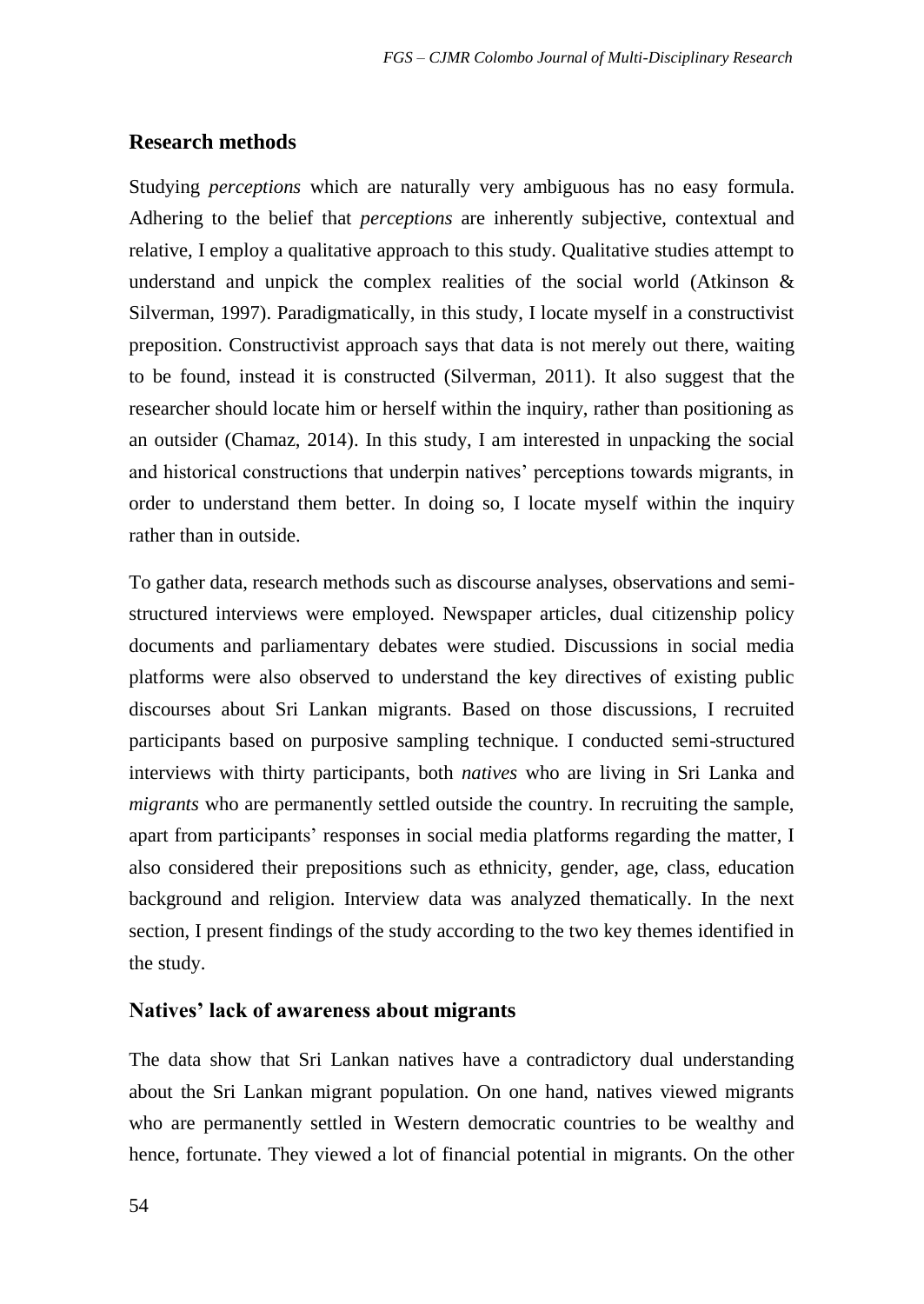### **Research methods**

Studying *perceptions* which are naturally very ambiguous has no easy formula. Adhering to the belief that *perceptions* are inherently subjective, contextual and relative, I employ a qualitative approach to this study. Qualitative studies attempt to understand and unpick the complex realities of the social world (Atkinson  $\&$ Silverman, 1997). Paradigmatically, in this study, I locate myself in a constructivist preposition. Constructivist approach says that data is not merely out there, waiting to be found, instead it is constructed (Silverman, 2011). It also suggest that the researcher should locate him or herself within the inquiry, rather than positioning as an outsider (Chamaz, 2014). In this study, I am interested in unpacking the social and historical constructions that underpin natives' perceptions towards migrants, in order to understand them better. In doing so, I locate myself within the inquiry rather than in outside.

To gather data, research methods such as discourse analyses, observations and semistructured interviews were employed. Newspaper articles, dual citizenship policy documents and parliamentary debates were studied. Discussions in social media platforms were also observed to understand the key directives of existing public discourses about Sri Lankan migrants. Based on those discussions, I recruited participants based on purposive sampling technique. I conducted semi-structured interviews with thirty participants, both *natives* who are living in Sri Lanka and *migrants* who are permanently settled outside the country. In recruiting the sample, apart from participants' responses in social media platforms regarding the matter, I also considered their prepositions such as ethnicity, gender, age, class, education background and religion. Interview data was analyzed thematically. In the next section, I present findings of the study according to the two key themes identified in the study.

#### **Natives' lack of awareness about migrants**

The data show that Sri Lankan natives have a contradictory dual understanding about the Sri Lankan migrant population. On one hand, natives viewed migrants who are permanently settled in Western democratic countries to be wealthy and hence, fortunate. They viewed a lot of financial potential in migrants. On the other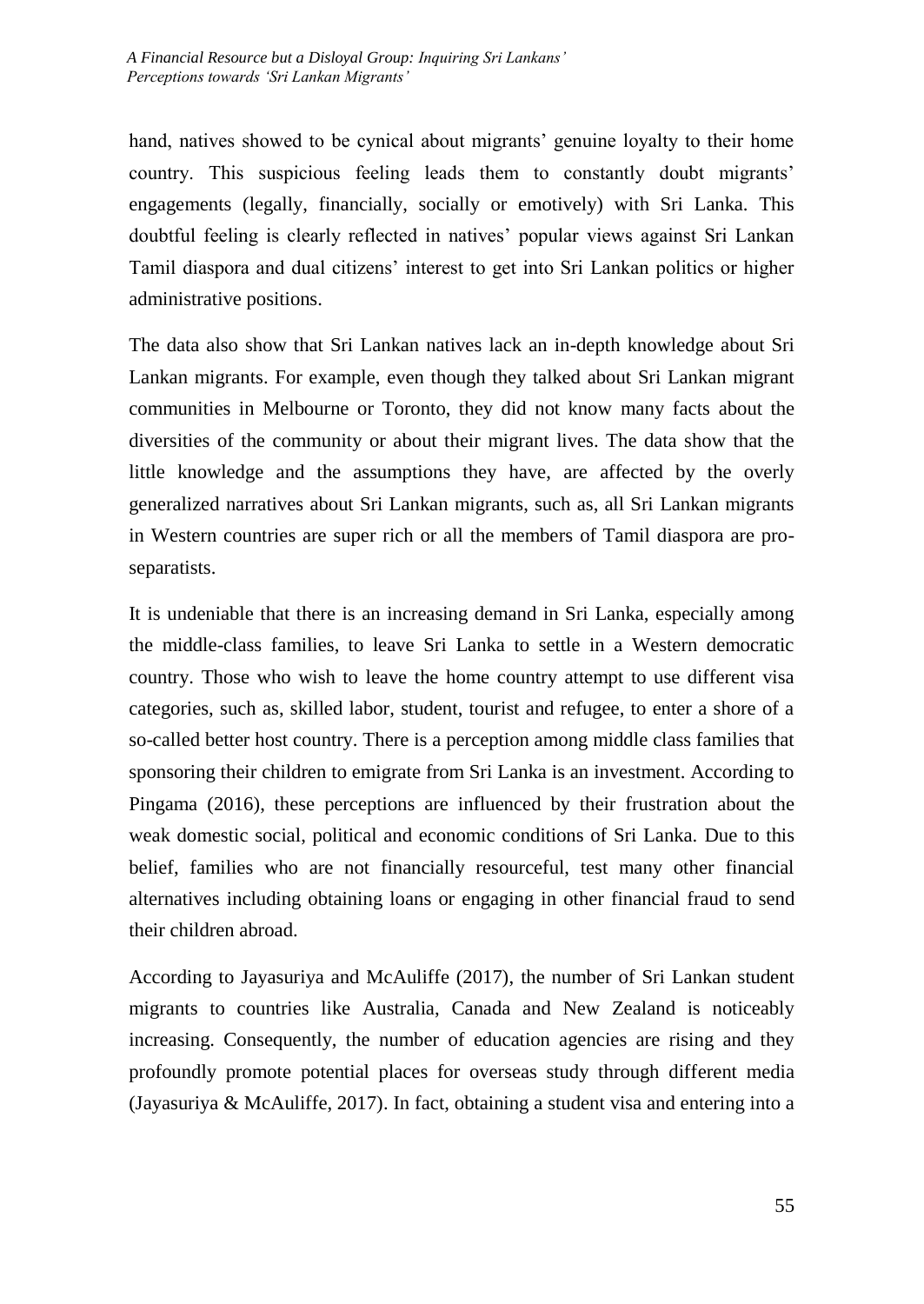hand, natives showed to be cynical about migrants' genuine loyalty to their home country. This suspicious feeling leads them to constantly doubt migrants' engagements (legally, financially, socially or emotively) with Sri Lanka. This doubtful feeling is clearly reflected in natives' popular views against Sri Lankan Tamil diaspora and dual citizens' interest to get into Sri Lankan politics or higher administrative positions.

The data also show that Sri Lankan natives lack an in-depth knowledge about Sri Lankan migrants. For example, even though they talked about Sri Lankan migrant communities in Melbourne or Toronto, they did not know many facts about the diversities of the community or about their migrant lives. The data show that the little knowledge and the assumptions they have, are affected by the overly generalized narratives about Sri Lankan migrants, such as, all Sri Lankan migrants in Western countries are super rich or all the members of Tamil diaspora are proseparatists.

It is undeniable that there is an increasing demand in Sri Lanka, especially among the middle-class families, to leave Sri Lanka to settle in a Western democratic country. Those who wish to leave the home country attempt to use different visa categories, such as, skilled labor, student, tourist and refugee, to enter a shore of a so-called better host country. There is a perception among middle class families that sponsoring their children to emigrate from Sri Lanka is an investment. According to Pingama (2016), these perceptions are influenced by their frustration about the weak domestic social, political and economic conditions of Sri Lanka. Due to this belief, families who are not financially resourceful, test many other financial alternatives including obtaining loans or engaging in other financial fraud to send their children abroad.

According to Jayasuriya and McAuliffe (2017), the number of Sri Lankan student migrants to countries like Australia, Canada and New Zealand is noticeably increasing. Consequently, the number of education agencies are rising and they profoundly promote potential places for overseas study through different media (Jayasuriya & McAuliffe, 2017). In fact, obtaining a student visa and entering into a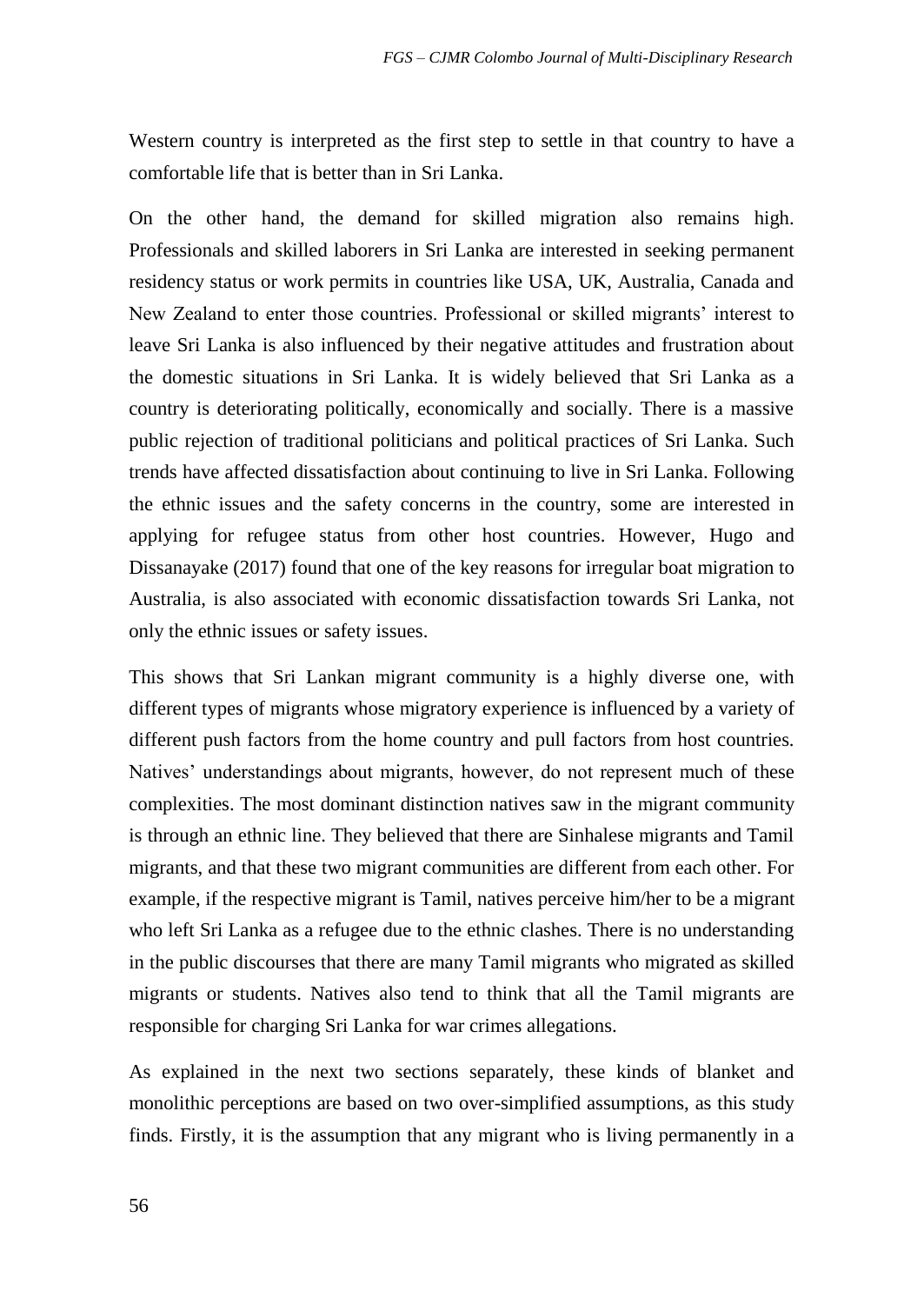Western country is interpreted as the first step to settle in that country to have a comfortable life that is better than in Sri Lanka.

On the other hand, the demand for skilled migration also remains high. Professionals and skilled laborers in Sri Lanka are interested in seeking permanent residency status or work permits in countries like USA, UK, Australia, Canada and New Zealand to enter those countries. Professional or skilled migrants' interest to leave Sri Lanka is also influenced by their negative attitudes and frustration about the domestic situations in Sri Lanka. It is widely believed that Sri Lanka as a country is deteriorating politically, economically and socially. There is a massive public rejection of traditional politicians and political practices of Sri Lanka. Such trends have affected dissatisfaction about continuing to live in Sri Lanka. Following the ethnic issues and the safety concerns in the country, some are interested in applying for refugee status from other host countries. However, Hugo and Dissanayake (2017) found that one of the key reasons for irregular boat migration to Australia, is also associated with economic dissatisfaction towards Sri Lanka, not only the ethnic issues or safety issues.

This shows that Sri Lankan migrant community is a highly diverse one, with different types of migrants whose migratory experience is influenced by a variety of different push factors from the home country and pull factors from host countries. Natives' understandings about migrants, however, do not represent much of these complexities. The most dominant distinction natives saw in the migrant community is through an ethnic line. They believed that there are Sinhalese migrants and Tamil migrants, and that these two migrant communities are different from each other. For example, if the respective migrant is Tamil, natives perceive him/her to be a migrant who left Sri Lanka as a refugee due to the ethnic clashes. There is no understanding in the public discourses that there are many Tamil migrants who migrated as skilled migrants or students. Natives also tend to think that all the Tamil migrants are responsible for charging Sri Lanka for war crimes allegations.

As explained in the next two sections separately, these kinds of blanket and monolithic perceptions are based on two over-simplified assumptions, as this study finds. Firstly, it is the assumption that any migrant who is living permanently in a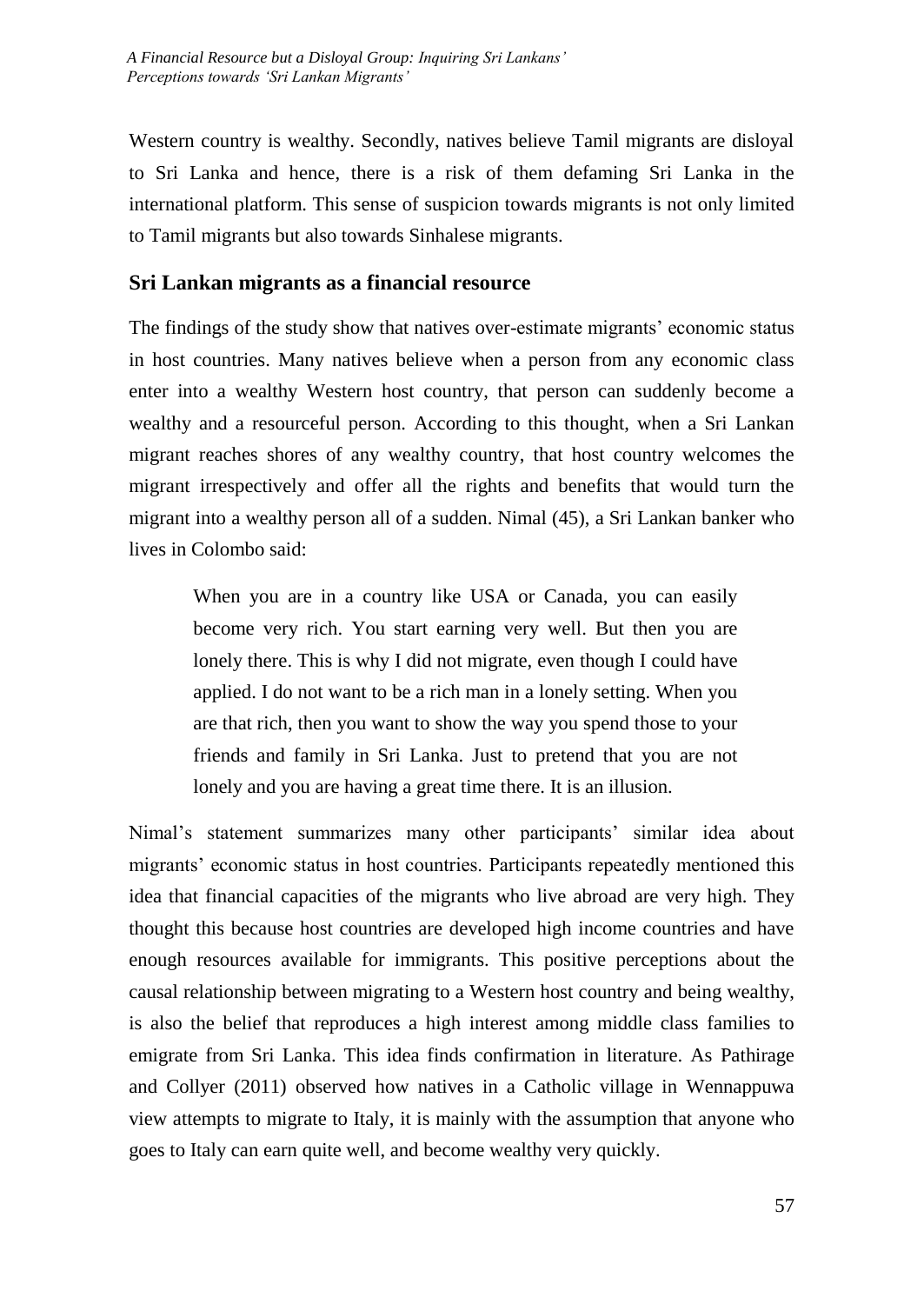Western country is wealthy. Secondly, natives believe Tamil migrants are disloyal to Sri Lanka and hence, there is a risk of them defaming Sri Lanka in the international platform. This sense of suspicion towards migrants is not only limited to Tamil migrants but also towards Sinhalese migrants.

### **Sri Lankan migrants as a financial resource**

The findings of the study show that natives over-estimate migrants' economic status in host countries. Many natives believe when a person from any economic class enter into a wealthy Western host country, that person can suddenly become a wealthy and a resourceful person. According to this thought, when a Sri Lankan migrant reaches shores of any wealthy country, that host country welcomes the migrant irrespectively and offer all the rights and benefits that would turn the migrant into a wealthy person all of a sudden. Nimal (45), a Sri Lankan banker who lives in Colombo said:

When you are in a country like USA or Canada, you can easily become very rich. You start earning very well. But then you are lonely there. This is why I did not migrate, even though I could have applied. I do not want to be a rich man in a lonely setting. When you are that rich, then you want to show the way you spend those to your friends and family in Sri Lanka. Just to pretend that you are not lonely and you are having a great time there. It is an illusion.

Nimal's statement summarizes many other participants' similar idea about migrants' economic status in host countries. Participants repeatedly mentioned this idea that financial capacities of the migrants who live abroad are very high. They thought this because host countries are developed high income countries and have enough resources available for immigrants. This positive perceptions about the causal relationship between migrating to a Western host country and being wealthy, is also the belief that reproduces a high interest among middle class families to emigrate from Sri Lanka. This idea finds confirmation in literature. As Pathirage and Collyer (2011) observed how natives in a Catholic village in Wennappuwa view attempts to migrate to Italy, it is mainly with the assumption that anyone who goes to Italy can earn quite well, and become wealthy very quickly.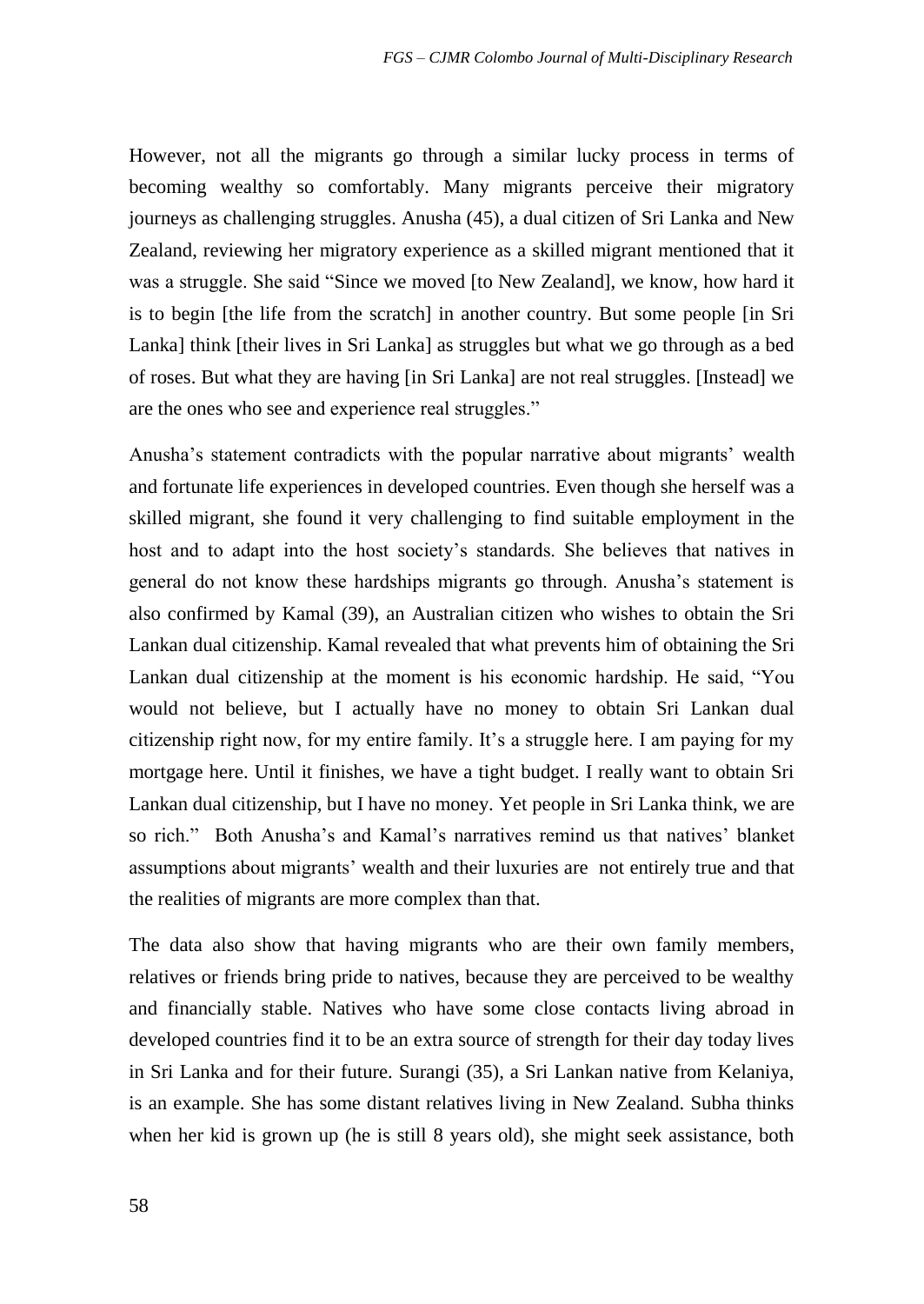However, not all the migrants go through a similar lucky process in terms of becoming wealthy so comfortably. Many migrants perceive their migratory journeys as challenging struggles. Anusha (45), a dual citizen of Sri Lanka and New Zealand, reviewing her migratory experience as a skilled migrant mentioned that it was a struggle. She said "Since we moved [to New Zealand], we know, how hard it is to begin [the life from the scratch] in another country. But some people [in Sri Lanka] think [their lives in Sri Lanka] as struggles but what we go through as a bed of roses. But what they are having [in Sri Lanka] are not real struggles. [Instead] we are the ones who see and experience real struggles."

Anusha's statement contradicts with the popular narrative about migrants' wealth and fortunate life experiences in developed countries. Even though she herself was a skilled migrant, she found it very challenging to find suitable employment in the host and to adapt into the host society's standards. She believes that natives in general do not know these hardships migrants go through. Anusha's statement is also confirmed by Kamal (39), an Australian citizen who wishes to obtain the Sri Lankan dual citizenship. Kamal revealed that what prevents him of obtaining the Sri Lankan dual citizenship at the moment is his economic hardship. He said, "You would not believe, but I actually have no money to obtain Sri Lankan dual citizenship right now, for my entire family. It's a struggle here. I am paying for my mortgage here. Until it finishes, we have a tight budget. I really want to obtain Sri Lankan dual citizenship, but I have no money. Yet people in Sri Lanka think, we are so rich." Both Anusha's and Kamal's narratives remind us that natives' blanket assumptions about migrants' wealth and their luxuries are not entirely true and that the realities of migrants are more complex than that.

The data also show that having migrants who are their own family members, relatives or friends bring pride to natives, because they are perceived to be wealthy and financially stable. Natives who have some close contacts living abroad in developed countries find it to be an extra source of strength for their day today lives in Sri Lanka and for their future. Surangi (35), a Sri Lankan native from Kelaniya, is an example. She has some distant relatives living in New Zealand. Subha thinks when her kid is grown up (he is still 8 years old), she might seek assistance, both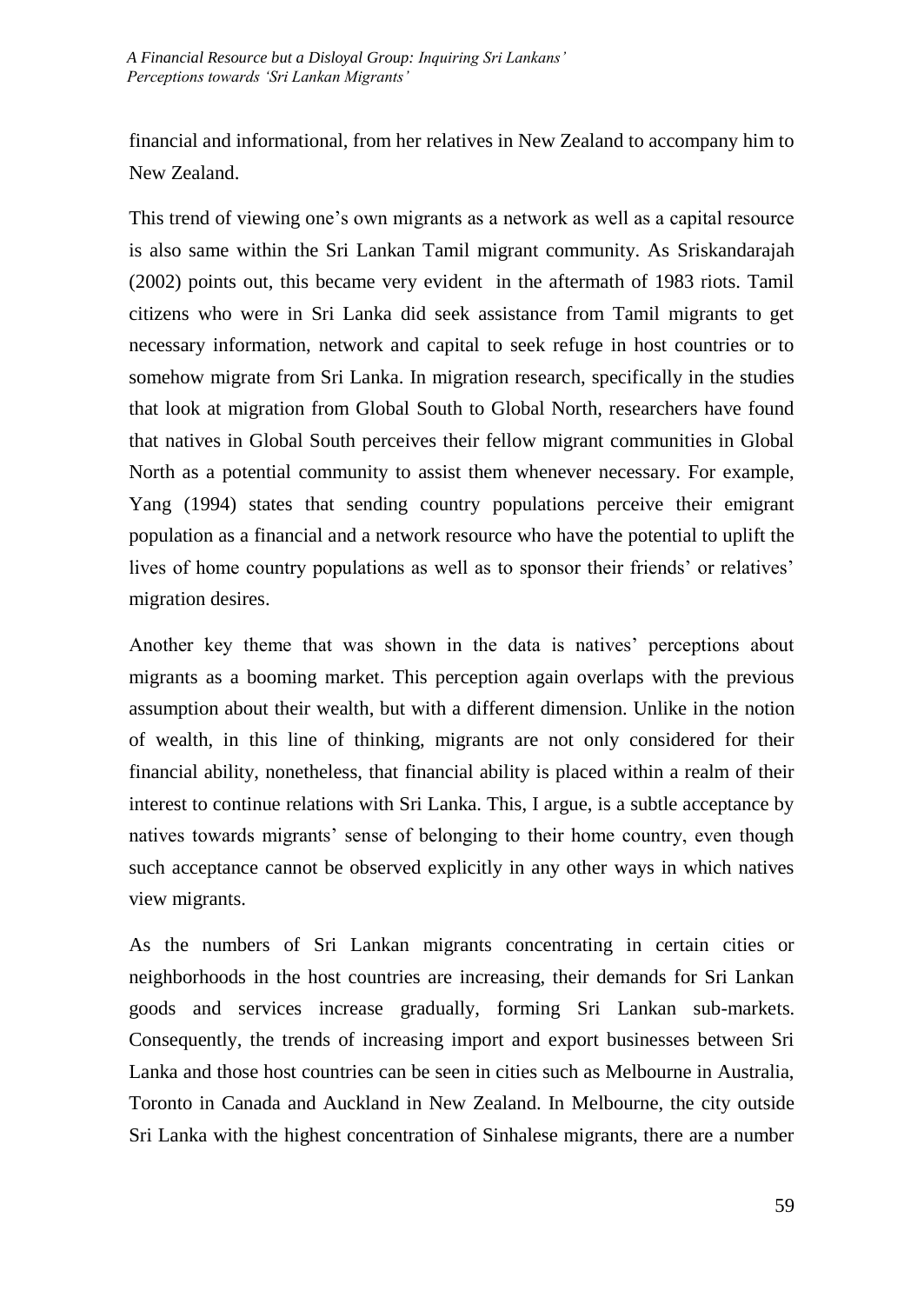financial and informational, from her relatives in New Zealand to accompany him to New Zealand.

This trend of viewing one's own migrants as a network as well as a capital resource is also same within the Sri Lankan Tamil migrant community. As Sriskandarajah (2002) points out, this became very evident in the aftermath of 1983 riots. Tamil citizens who were in Sri Lanka did seek assistance from Tamil migrants to get necessary information, network and capital to seek refuge in host countries or to somehow migrate from Sri Lanka. In migration research, specifically in the studies that look at migration from Global South to Global North, researchers have found that natives in Global South perceives their fellow migrant communities in Global North as a potential community to assist them whenever necessary. For example, Yang (1994) states that sending country populations perceive their emigrant population as a financial and a network resource who have the potential to uplift the lives of home country populations as well as to sponsor their friends' or relatives' migration desires.

Another key theme that was shown in the data is natives' perceptions about migrants as a booming market. This perception again overlaps with the previous assumption about their wealth, but with a different dimension. Unlike in the notion of wealth, in this line of thinking, migrants are not only considered for their financial ability, nonetheless, that financial ability is placed within a realm of their interest to continue relations with Sri Lanka. This, I argue, is a subtle acceptance by natives towards migrants' sense of belonging to their home country, even though such acceptance cannot be observed explicitly in any other ways in which natives view migrants.

As the numbers of Sri Lankan migrants concentrating in certain cities or neighborhoods in the host countries are increasing, their demands for Sri Lankan goods and services increase gradually, forming Sri Lankan sub-markets. Consequently, the trends of increasing import and export businesses between Sri Lanka and those host countries can be seen in cities such as Melbourne in Australia, Toronto in Canada and Auckland in New Zealand. In Melbourne, the city outside Sri Lanka with the highest concentration of Sinhalese migrants, there are a number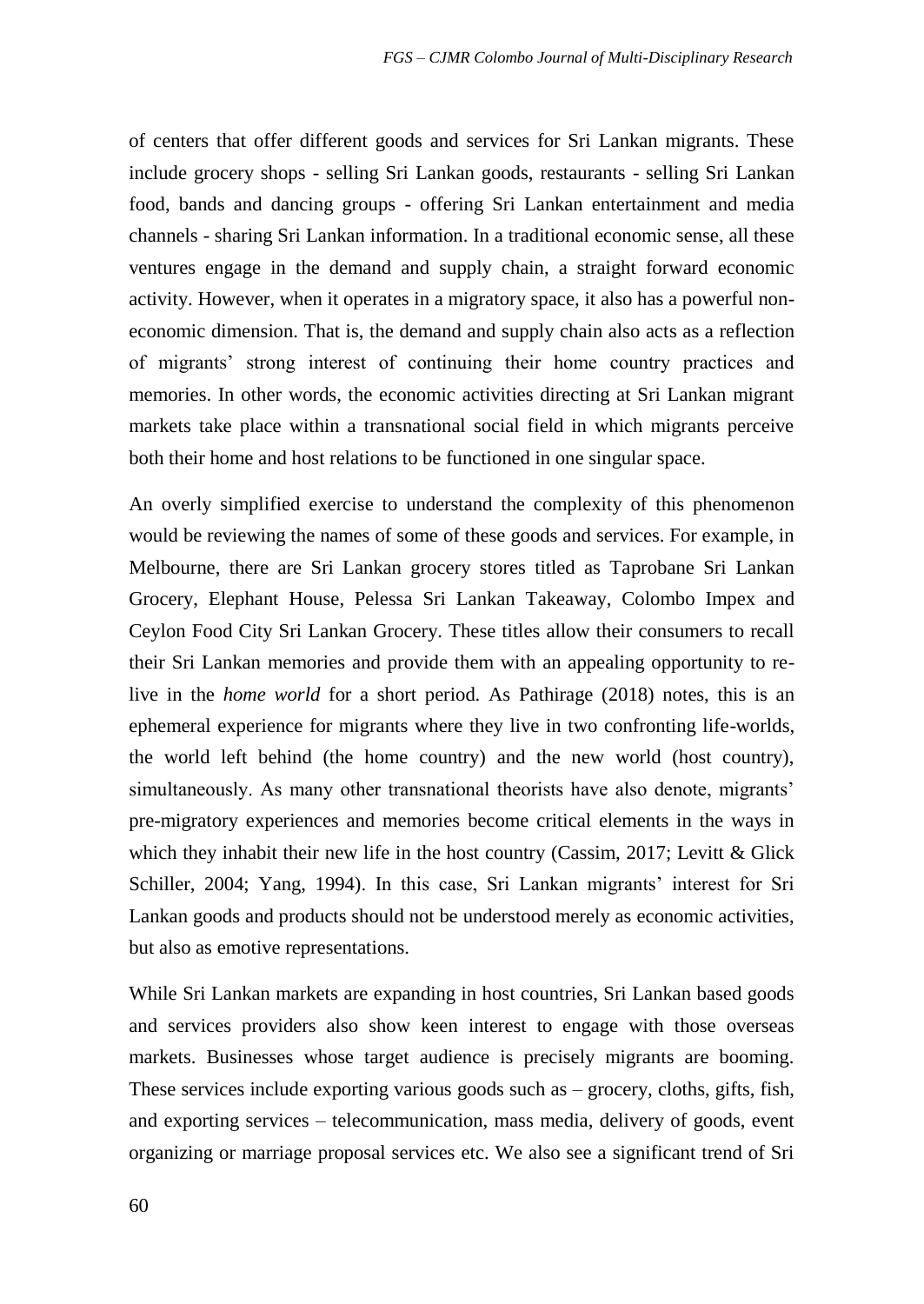of centers that offer different goods and services for Sri Lankan migrants. These include grocery shops - selling Sri Lankan goods, restaurants - selling Sri Lankan food, bands and dancing groups - offering Sri Lankan entertainment and media channels - sharing Sri Lankan information. In a traditional economic sense, all these ventures engage in the demand and supply chain, a straight forward economic activity. However, when it operates in a migratory space, it also has a powerful noneconomic dimension. That is, the demand and supply chain also acts as a reflection of migrants' strong interest of continuing their home country practices and memories. In other words, the economic activities directing at Sri Lankan migrant markets take place within a transnational social field in which migrants perceive both their home and host relations to be functioned in one singular space.

An overly simplified exercise to understand the complexity of this phenomenon would be reviewing the names of some of these goods and services. For example, in Melbourne, there are Sri Lankan grocery stores titled as Taprobane Sri Lankan Grocery, Elephant House, Pelessa Sri Lankan Takeaway, Colombo Impex and Ceylon Food City Sri Lankan Grocery. These titles allow their consumers to recall their Sri Lankan memories and provide them with an appealing opportunity to relive in the *home world* for a short period. As Pathirage (2018) notes, this is an ephemeral experience for migrants where they live in two confronting life-worlds, the world left behind (the home country) and the new world (host country), simultaneously. As many other transnational theorists have also denote, migrants' pre-migratory experiences and memories become critical elements in the ways in which they inhabit their new life in the host country (Cassim, 2017; Levitt & Glick Schiller, 2004; Yang, 1994). In this case, Sri Lankan migrants' interest for Sri Lankan goods and products should not be understood merely as economic activities, but also as emotive representations.

While Sri Lankan markets are expanding in host countries, Sri Lankan based goods and services providers also show keen interest to engage with those overseas markets. Businesses whose target audience is precisely migrants are booming. These services include exporting various goods such as – grocery, cloths, gifts, fish, and exporting services – telecommunication, mass media, delivery of goods, event organizing or marriage proposal services etc. We also see a significant trend of Sri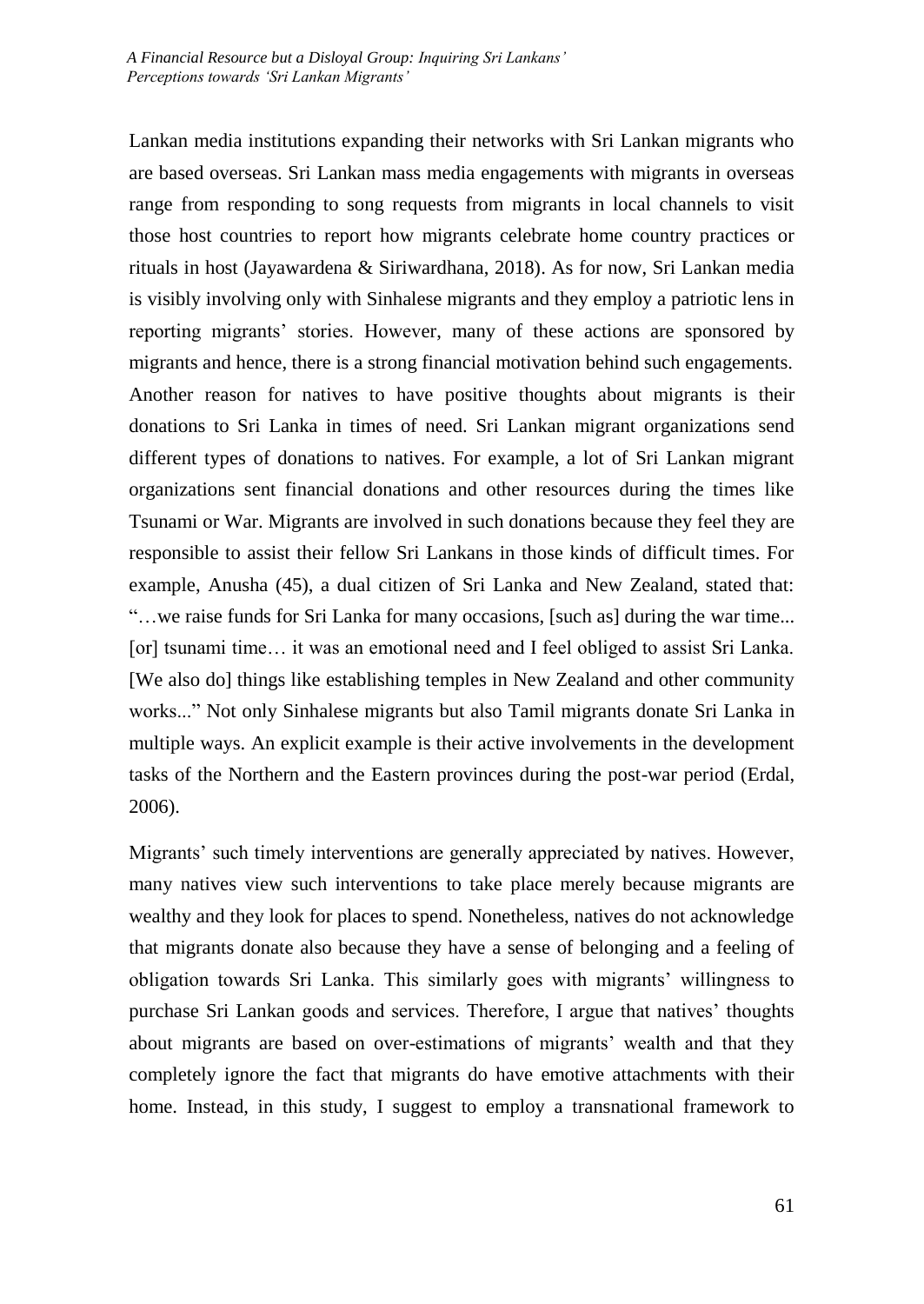Lankan media institutions expanding their networks with Sri Lankan migrants who are based overseas. Sri Lankan mass media engagements with migrants in overseas range from responding to song requests from migrants in local channels to visit those host countries to report how migrants celebrate home country practices or rituals in host (Jayawardena & Siriwardhana, 2018). As for now, Sri Lankan media is visibly involving only with Sinhalese migrants and they employ a patriotic lens in reporting migrants' stories. However, many of these actions are sponsored by migrants and hence, there is a strong financial motivation behind such engagements. Another reason for natives to have positive thoughts about migrants is their donations to Sri Lanka in times of need. Sri Lankan migrant organizations send different types of donations to natives. For example, a lot of Sri Lankan migrant organizations sent financial donations and other resources during the times like Tsunami or War. Migrants are involved in such donations because they feel they are responsible to assist their fellow Sri Lankans in those kinds of difficult times. For example, Anusha (45), a dual citizen of Sri Lanka and New Zealand, stated that: "…we raise funds for Sri Lanka for many occasions, [such as] during the war time... [or] tsunami time... it was an emotional need and I feel obliged to assist Sri Lanka. [We also do] things like establishing temples in New Zealand and other community works..." Not only Sinhalese migrants but also Tamil migrants donate Sri Lanka in multiple ways. An explicit example is their active involvements in the development tasks of the Northern and the Eastern provinces during the post-war period (Erdal, 2006).

Migrants' such timely interventions are generally appreciated by natives. However, many natives view such interventions to take place merely because migrants are wealthy and they look for places to spend. Nonetheless, natives do not acknowledge that migrants donate also because they have a sense of belonging and a feeling of obligation towards Sri Lanka. This similarly goes with migrants' willingness to purchase Sri Lankan goods and services. Therefore, I argue that natives' thoughts about migrants are based on over-estimations of migrants' wealth and that they completely ignore the fact that migrants do have emotive attachments with their home. Instead, in this study, I suggest to employ a transnational framework to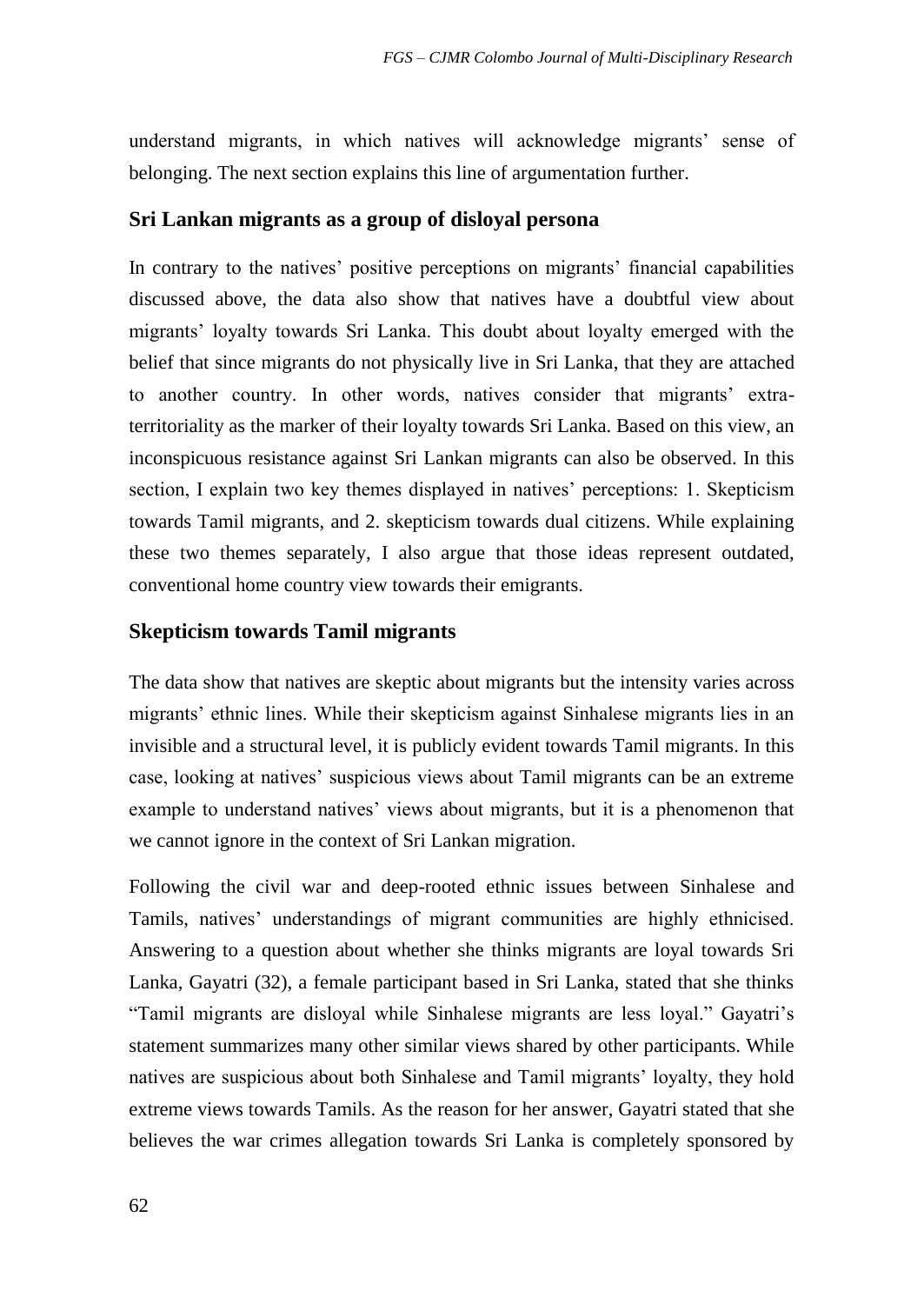understand migrants, in which natives will acknowledge migrants' sense of belonging. The next section explains this line of argumentation further.

### **Sri Lankan migrants as a group of disloyal persona**

In contrary to the natives' positive perceptions on migrants' financial capabilities discussed above, the data also show that natives have a doubtful view about migrants' loyalty towards Sri Lanka. This doubt about loyalty emerged with the belief that since migrants do not physically live in Sri Lanka, that they are attached to another country. In other words, natives consider that migrants' extraterritoriality as the marker of their loyalty towards Sri Lanka. Based on this view, an inconspicuous resistance against Sri Lankan migrants can also be observed. In this section, I explain two key themes displayed in natives' perceptions: 1. Skepticism towards Tamil migrants, and 2. skepticism towards dual citizens. While explaining these two themes separately, I also argue that those ideas represent outdated, conventional home country view towards their emigrants.

### **Skepticism towards Tamil migrants**

The data show that natives are skeptic about migrants but the intensity varies across migrants' ethnic lines. While their skepticism against Sinhalese migrants lies in an invisible and a structural level, it is publicly evident towards Tamil migrants. In this case, looking at natives' suspicious views about Tamil migrants can be an extreme example to understand natives' views about migrants, but it is a phenomenon that we cannot ignore in the context of Sri Lankan migration.

Following the civil war and deep-rooted ethnic issues between Sinhalese and Tamils, natives' understandings of migrant communities are highly ethnicised. Answering to a question about whether she thinks migrants are loyal towards Sri Lanka, Gayatri (32), a female participant based in Sri Lanka, stated that she thinks "Tamil migrants are disloyal while Sinhalese migrants are less loyal." Gayatri's statement summarizes many other similar views shared by other participants. While natives are suspicious about both Sinhalese and Tamil migrants' loyalty, they hold extreme views towards Tamils. As the reason for her answer, Gayatri stated that she believes the war crimes allegation towards Sri Lanka is completely sponsored by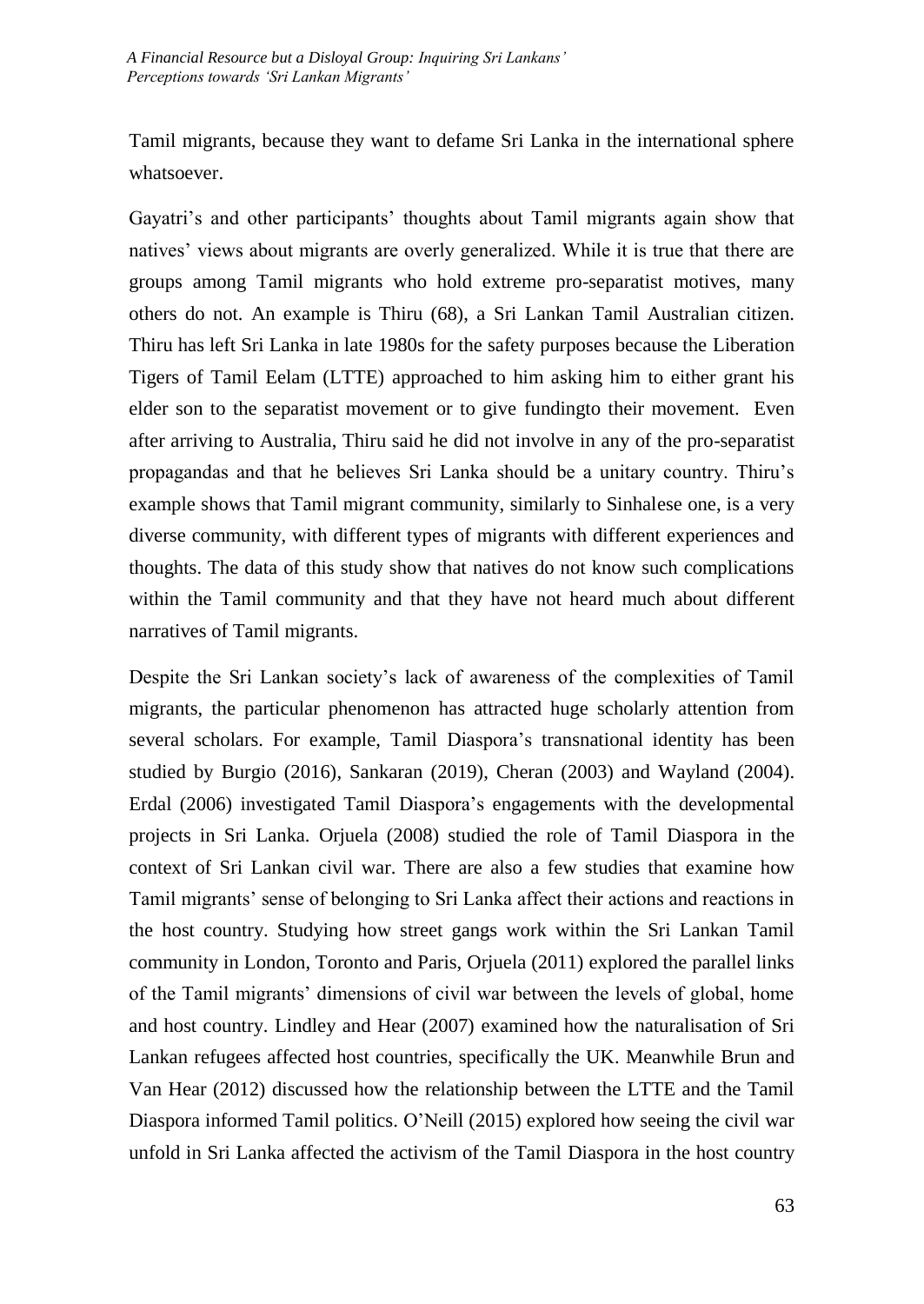Tamil migrants, because they want to defame Sri Lanka in the international sphere whatsoever.

Gayatri's and other participants' thoughts about Tamil migrants again show that natives' views about migrants are overly generalized. While it is true that there are groups among Tamil migrants who hold extreme pro-separatist motives, many others do not. An example is Thiru (68), a Sri Lankan Tamil Australian citizen. Thiru has left Sri Lanka in late 1980s for the safety purposes because the Liberation Tigers of Tamil Eelam (LTTE) approached to him asking him to either grant his elder son to the separatist movement or to give fundingto their movement. Even after arriving to Australia, Thiru said he did not involve in any of the pro-separatist propagandas and that he believes Sri Lanka should be a unitary country. Thiru's example shows that Tamil migrant community, similarly to Sinhalese one, is a very diverse community, with different types of migrants with different experiences and thoughts. The data of this study show that natives do not know such complications within the Tamil community and that they have not heard much about different narratives of Tamil migrants.

Despite the Sri Lankan society's lack of awareness of the complexities of Tamil migrants, the particular phenomenon has attracted huge scholarly attention from several scholars. For example, Tamil Diaspora's transnational identity has been studied by Burgio (2016), Sankaran (2019), Cheran (2003) and Wayland (2004). Erdal (2006) investigated Tamil Diaspora's engagements with the developmental projects in Sri Lanka. Orjuela (2008) studied the role of Tamil Diaspora in the context of Sri Lankan civil war. There are also a few studies that examine how Tamil migrants' sense of belonging to Sri Lanka affect their actions and reactions in the host country. Studying how street gangs work within the Sri Lankan Tamil community in London, Toronto and Paris, Orjuela (2011) explored the parallel links of the Tamil migrants' dimensions of civil war between the levels of global, home and host country. Lindley and Hear (2007) examined how the naturalisation of Sri Lankan refugees affected host countries, specifically the UK. Meanwhile Brun and Van Hear (2012) discussed how the relationship between the LTTE and the Tamil Diaspora informed Tamil politics. O'Neill (2015) explored how seeing the civil war unfold in Sri Lanka affected the activism of the Tamil Diaspora in the host country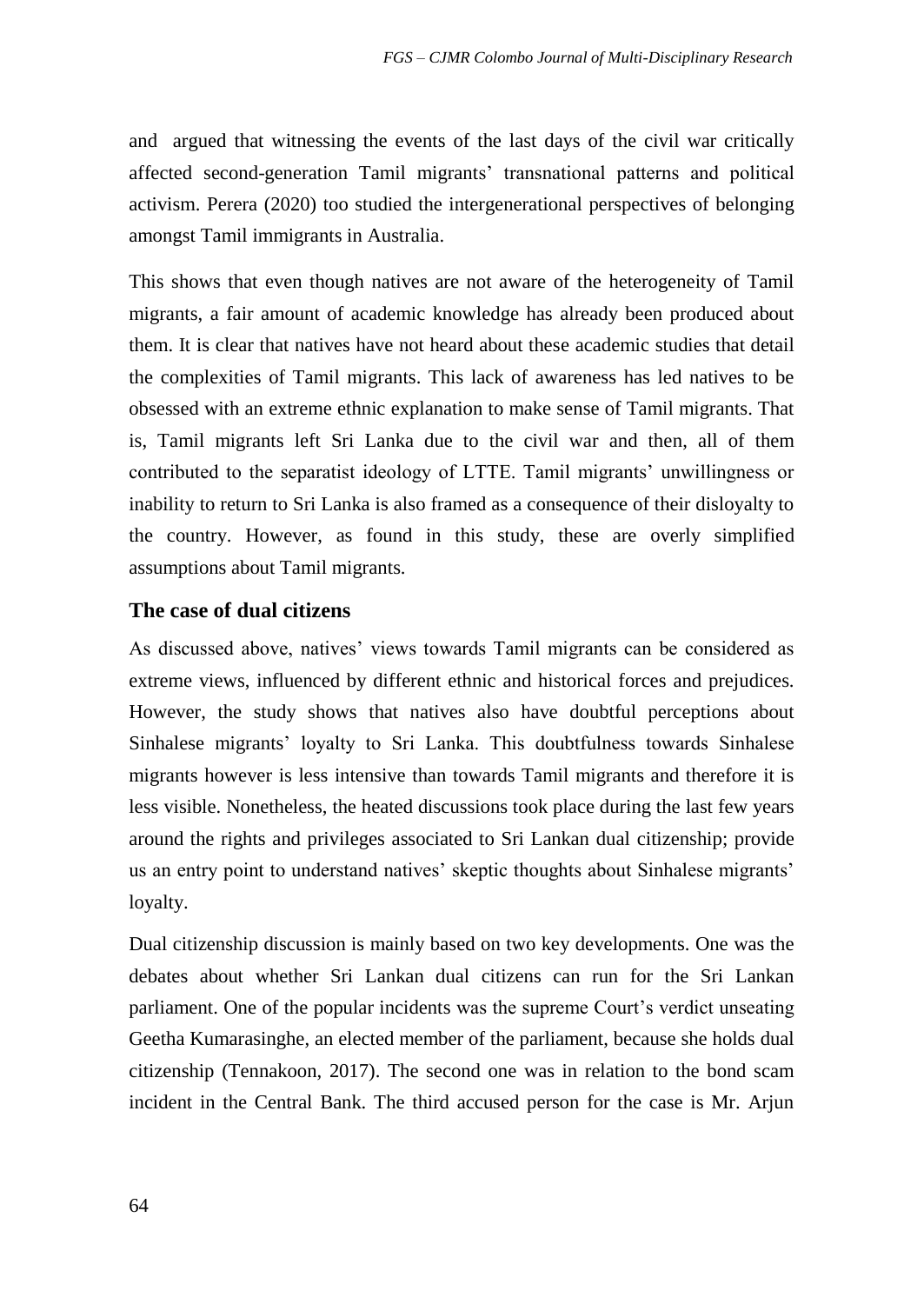and argued that witnessing the events of the last days of the civil war critically affected second-generation Tamil migrants' transnational patterns and political activism. Perera (2020) too studied the intergenerational perspectives of belonging amongst Tamil immigrants in Australia.

This shows that even though natives are not aware of the heterogeneity of Tamil migrants, a fair amount of academic knowledge has already been produced about them. It is clear that natives have not heard about these academic studies that detail the complexities of Tamil migrants. This lack of awareness has led natives to be obsessed with an extreme ethnic explanation to make sense of Tamil migrants. That is, Tamil migrants left Sri Lanka due to the civil war and then, all of them contributed to the separatist ideology of LTTE. Tamil migrants' unwillingness or inability to return to Sri Lanka is also framed as a consequence of their disloyalty to the country. However, as found in this study, these are overly simplified assumptions about Tamil migrants.

### **The case of dual citizens**

As discussed above, natives' views towards Tamil migrants can be considered as extreme views, influenced by different ethnic and historical forces and prejudices. However, the study shows that natives also have doubtful perceptions about Sinhalese migrants' loyalty to Sri Lanka. This doubtfulness towards Sinhalese migrants however is less intensive than towards Tamil migrants and therefore it is less visible. Nonetheless, the heated discussions took place during the last few years around the rights and privileges associated to Sri Lankan dual citizenship; provide us an entry point to understand natives' skeptic thoughts about Sinhalese migrants' loyalty.

Dual citizenship discussion is mainly based on two key developments. One was the debates about whether Sri Lankan dual citizens can run for the Sri Lankan parliament. One of the popular incidents was the supreme Court's verdict unseating Geetha Kumarasinghe, an elected member of the parliament, because she holds dual citizenship (Tennakoon, 2017). The second one was in relation to the bond scam incident in the Central Bank. The third accused person for the case is Mr. Arjun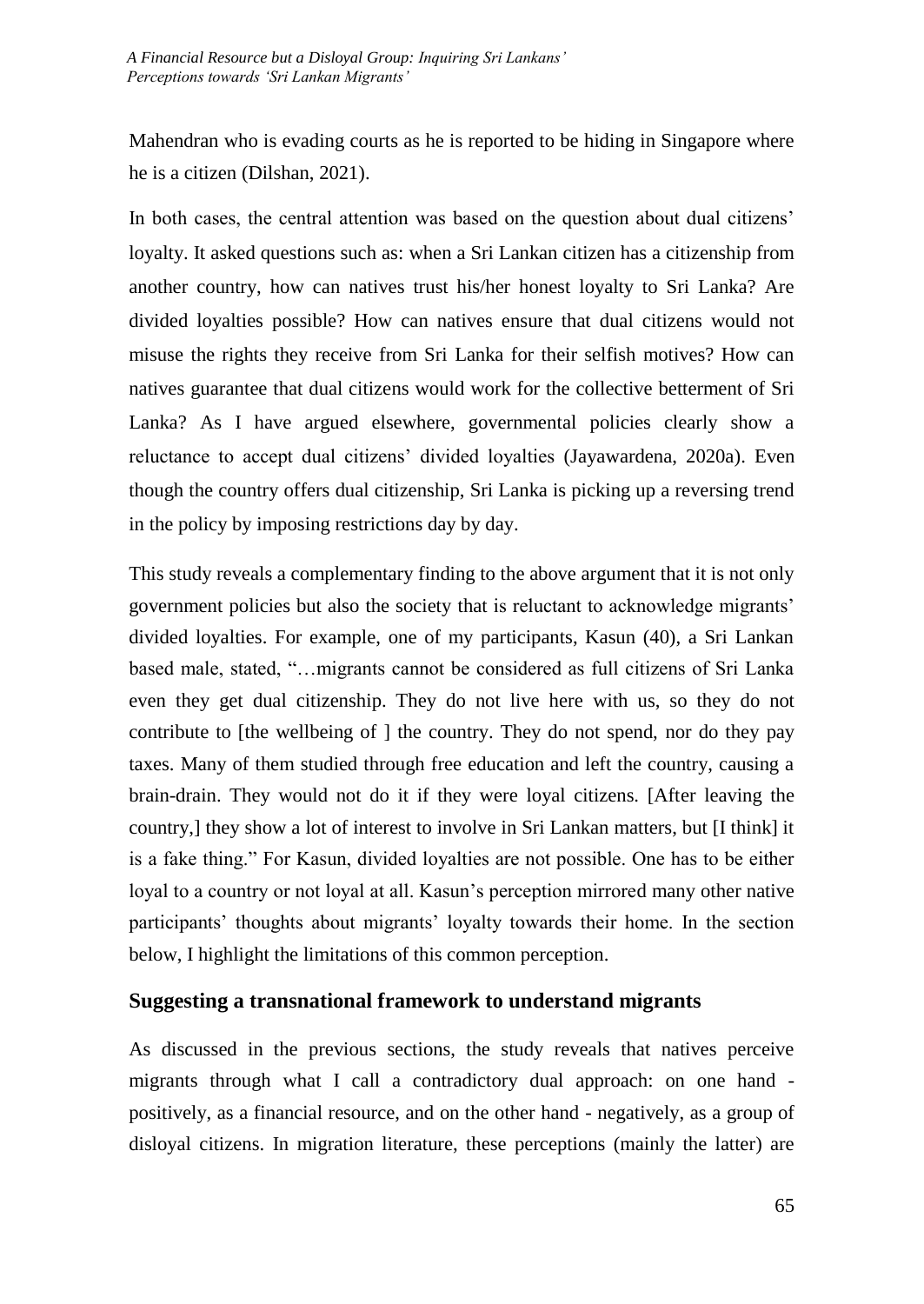Mahendran who is evading courts as he is reported to be hiding in Singapore where he is a citizen (Dilshan, 2021).

In both cases, the central attention was based on the question about dual citizens' loyalty. It asked questions such as: when a Sri Lankan citizen has a citizenship from another country, how can natives trust his/her honest loyalty to Sri Lanka? Are divided loyalties possible? How can natives ensure that dual citizens would not misuse the rights they receive from Sri Lanka for their selfish motives? How can natives guarantee that dual citizens would work for the collective betterment of Sri Lanka? As I have argued elsewhere, governmental policies clearly show a reluctance to accept dual citizens' divided loyalties (Jayawardena, 2020a). Even though the country offers dual citizenship, Sri Lanka is picking up a reversing trend in the policy by imposing restrictions day by day.

This study reveals a complementary finding to the above argument that it is not only government policies but also the society that is reluctant to acknowledge migrants' divided loyalties. For example, one of my participants, Kasun (40), a Sri Lankan based male, stated, "…migrants cannot be considered as full citizens of Sri Lanka even they get dual citizenship. They do not live here with us, so they do not contribute to [the wellbeing of ] the country. They do not spend, nor do they pay taxes. Many of them studied through free education and left the country, causing a brain-drain. They would not do it if they were loyal citizens. [After leaving the country,] they show a lot of interest to involve in Sri Lankan matters, but [I think] it is a fake thing." For Kasun, divided loyalties are not possible. One has to be either loyal to a country or not loyal at all. Kasun's perception mirrored many other native participants' thoughts about migrants' loyalty towards their home. In the section below, I highlight the limitations of this common perception.

### **Suggesting a transnational framework to understand migrants**

As discussed in the previous sections, the study reveals that natives perceive migrants through what I call a contradictory dual approach: on one hand positively, as a financial resource, and on the other hand - negatively, as a group of disloyal citizens. In migration literature, these perceptions (mainly the latter) are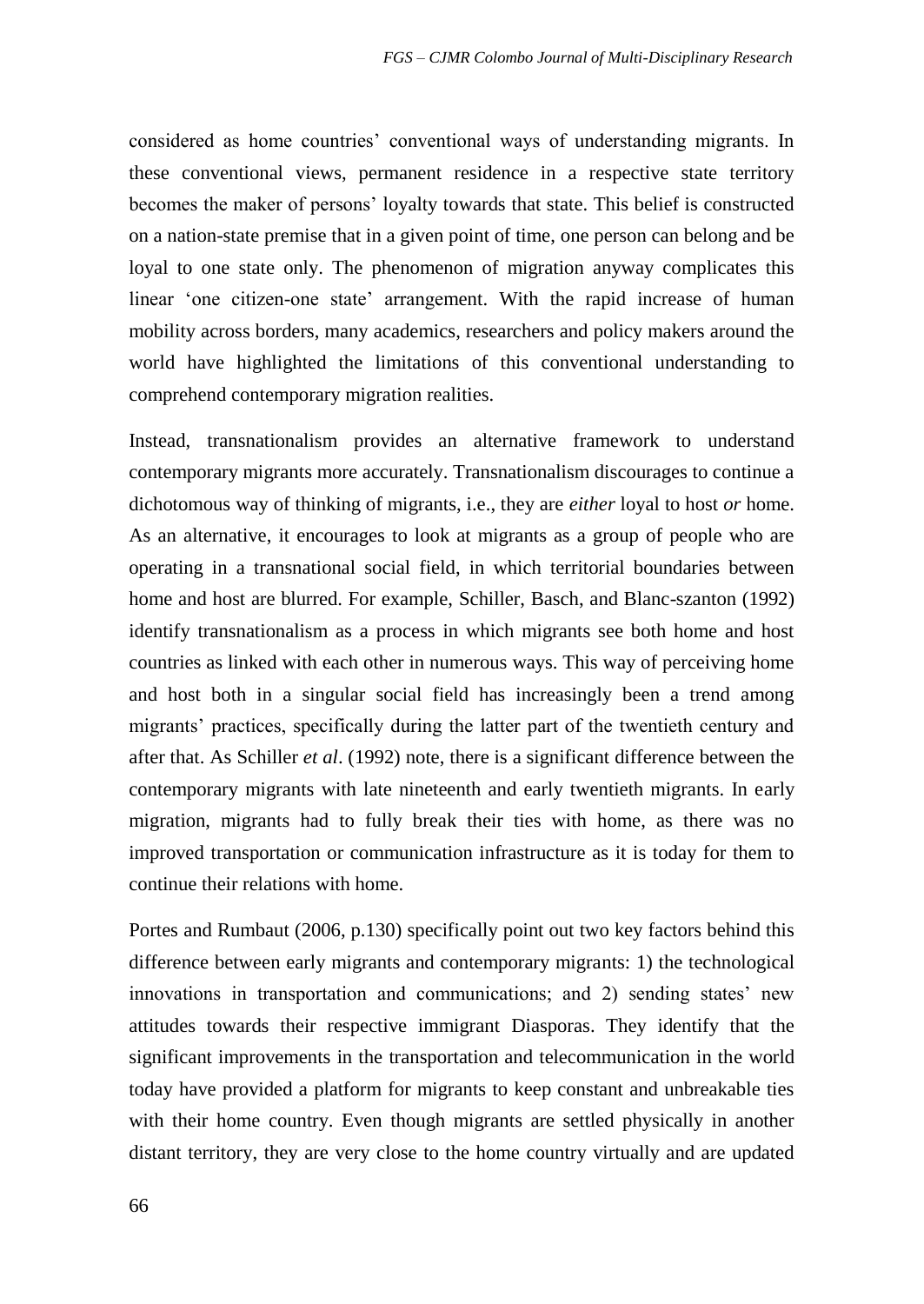considered as home countries' conventional ways of understanding migrants. In these conventional views, permanent residence in a respective state territory becomes the maker of persons' loyalty towards that state. This belief is constructed on a nation-state premise that in a given point of time, one person can belong and be loyal to one state only. The phenomenon of migration anyway complicates this linear 'one citizen-one state' arrangement. With the rapid increase of human mobility across borders, many academics, researchers and policy makers around the world have highlighted the limitations of this conventional understanding to comprehend contemporary migration realities.

Instead, transnationalism provides an alternative framework to understand contemporary migrants more accurately. Transnationalism discourages to continue a dichotomous way of thinking of migrants, i.e., they are *either* loyal to host *or* home. As an alternative, it encourages to look at migrants as a group of people who are operating in a transnational social field, in which territorial boundaries between home and host are blurred. For example, Schiller, Basch, and Blanc-szanton (1992) identify transnationalism as a process in which migrants see both home and host countries as linked with each other in numerous ways. This way of perceiving home and host both in a singular social field has increasingly been a trend among migrants' practices, specifically during the latter part of the twentieth century and after that. As Schiller *et al*. (1992) note, there is a significant difference between the contemporary migrants with late nineteenth and early twentieth migrants. In early migration, migrants had to fully break their ties with home, as there was no improved transportation or communication infrastructure as it is today for them to continue their relations with home.

Portes and Rumbaut (2006, p.130) specifically point out two key factors behind this difference between early migrants and contemporary migrants: 1) the technological innovations in transportation and communications; and 2) sending states' new attitudes towards their respective immigrant Diasporas. They identify that the significant improvements in the transportation and telecommunication in the world today have provided a platform for migrants to keep constant and unbreakable ties with their home country. Even though migrants are settled physically in another distant territory, they are very close to the home country virtually and are updated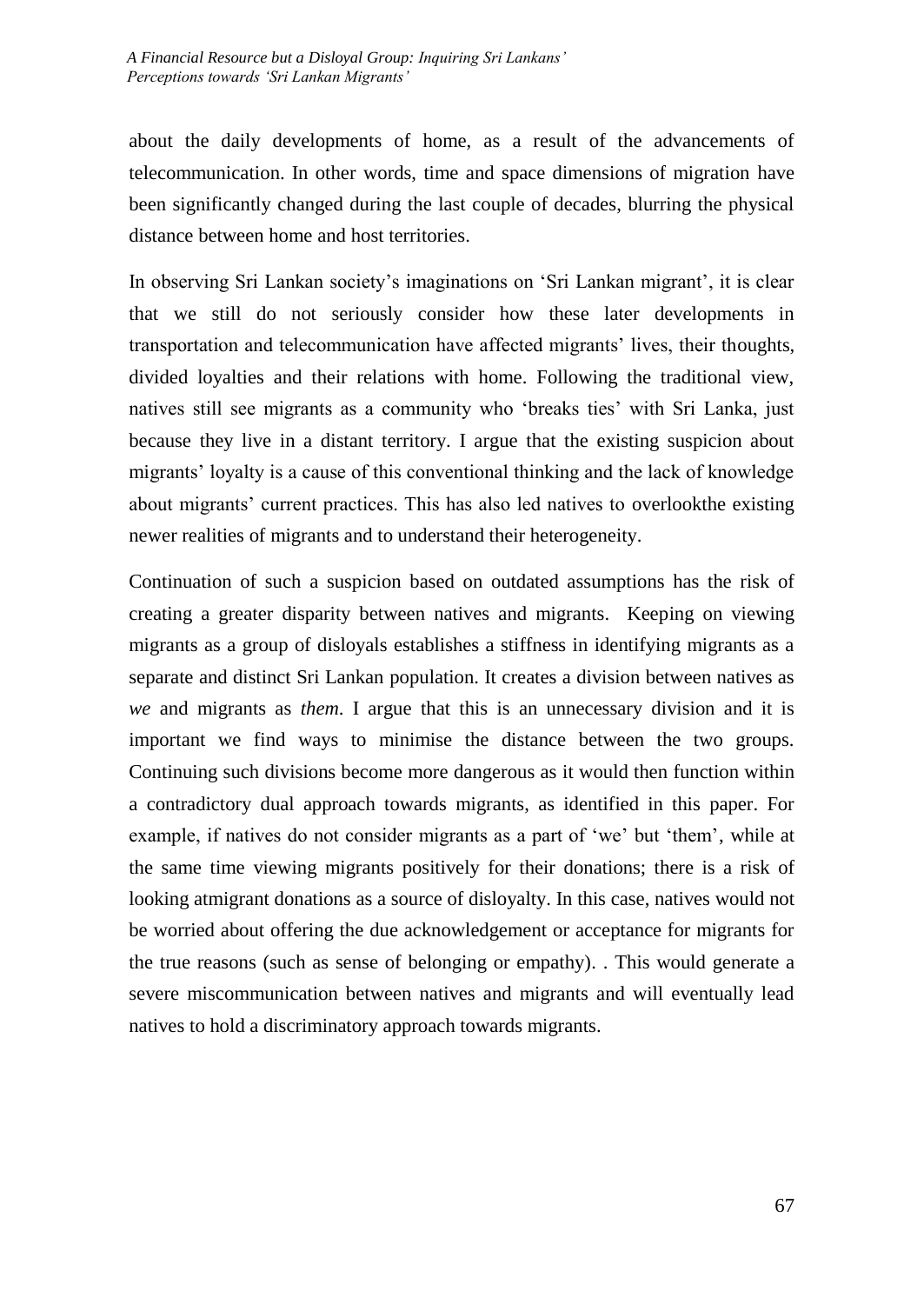about the daily developments of home, as a result of the advancements of telecommunication. In other words, time and space dimensions of migration have been significantly changed during the last couple of decades, blurring the physical distance between home and host territories.

In observing Sri Lankan society's imaginations on 'Sri Lankan migrant', it is clear that we still do not seriously consider how these later developments in transportation and telecommunication have affected migrants' lives, their thoughts, divided loyalties and their relations with home. Following the traditional view, natives still see migrants as a community who 'breaks ties' with Sri Lanka, just because they live in a distant territory. I argue that the existing suspicion about migrants' loyalty is a cause of this conventional thinking and the lack of knowledge about migrants' current practices. This has also led natives to overlookthe existing newer realities of migrants and to understand their heterogeneity.

Continuation of such a suspicion based on outdated assumptions has the risk of creating a greater disparity between natives and migrants. Keeping on viewing migrants as a group of disloyals establishes a stiffness in identifying migrants as a separate and distinct Sri Lankan population. It creates a division between natives as *we* and migrants as *them*. I argue that this is an unnecessary division and it is important we find ways to minimise the distance between the two groups. Continuing such divisions become more dangerous as it would then function within a contradictory dual approach towards migrants, as identified in this paper. For example, if natives do not consider migrants as a part of 'we' but 'them', while at the same time viewing migrants positively for their donations; there is a risk of looking atmigrant donations as a source of disloyalty. In this case, natives would not be worried about offering the due acknowledgement or acceptance for migrants for the true reasons (such as sense of belonging or empathy). . This would generate a severe miscommunication between natives and migrants and will eventually lead natives to hold a discriminatory approach towards migrants.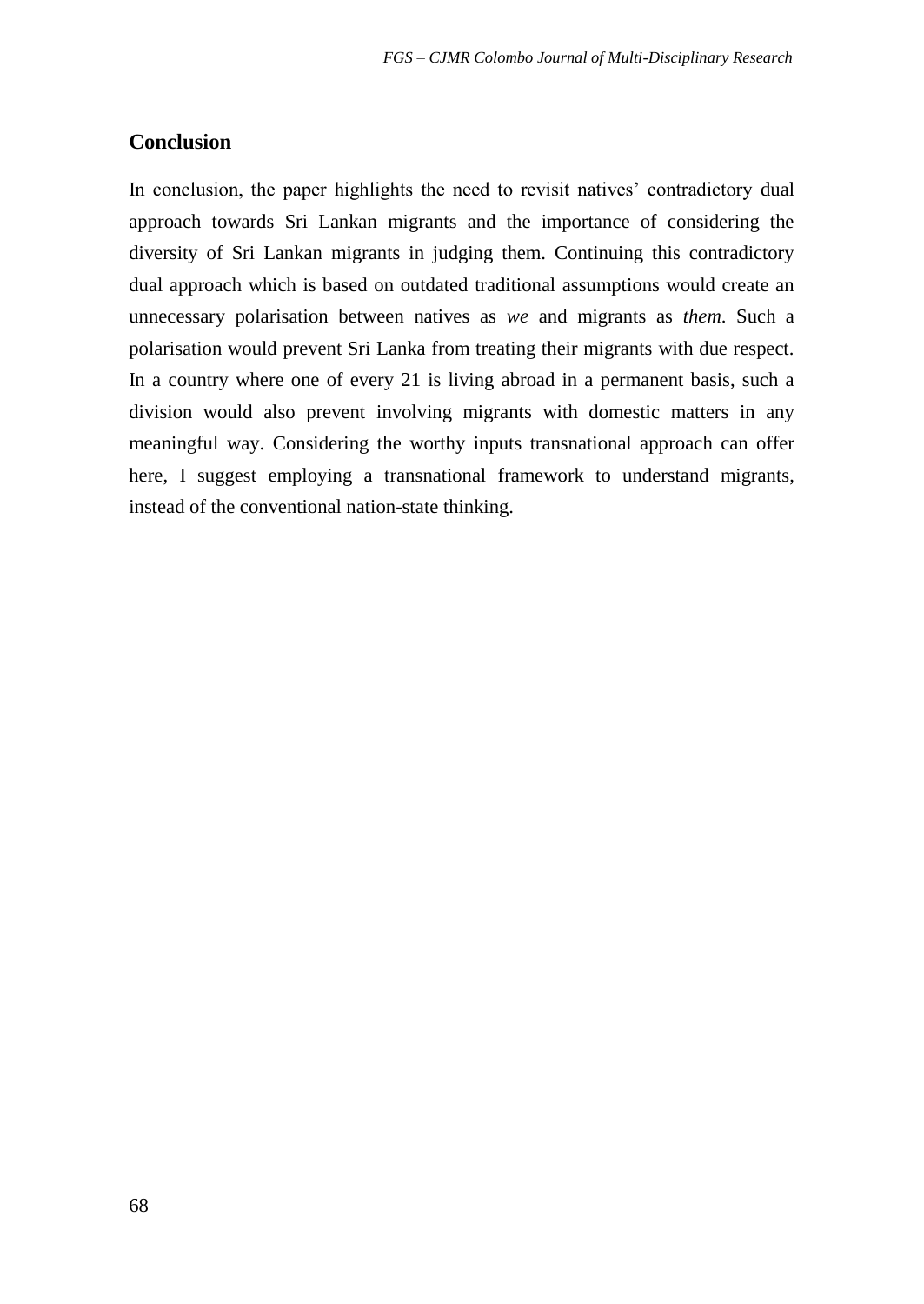### **Conclusion**

In conclusion, the paper highlights the need to revisit natives' contradictory dual approach towards Sri Lankan migrants and the importance of considering the diversity of Sri Lankan migrants in judging them. Continuing this contradictory dual approach which is based on outdated traditional assumptions would create an unnecessary polarisation between natives as *we* and migrants as *them*. Such a polarisation would prevent Sri Lanka from treating their migrants with due respect. In a country where one of every 21 is living abroad in a permanent basis, such a division would also prevent involving migrants with domestic matters in any meaningful way. Considering the worthy inputs transnational approach can offer here, I suggest employing a transnational framework to understand migrants, instead of the conventional nation-state thinking.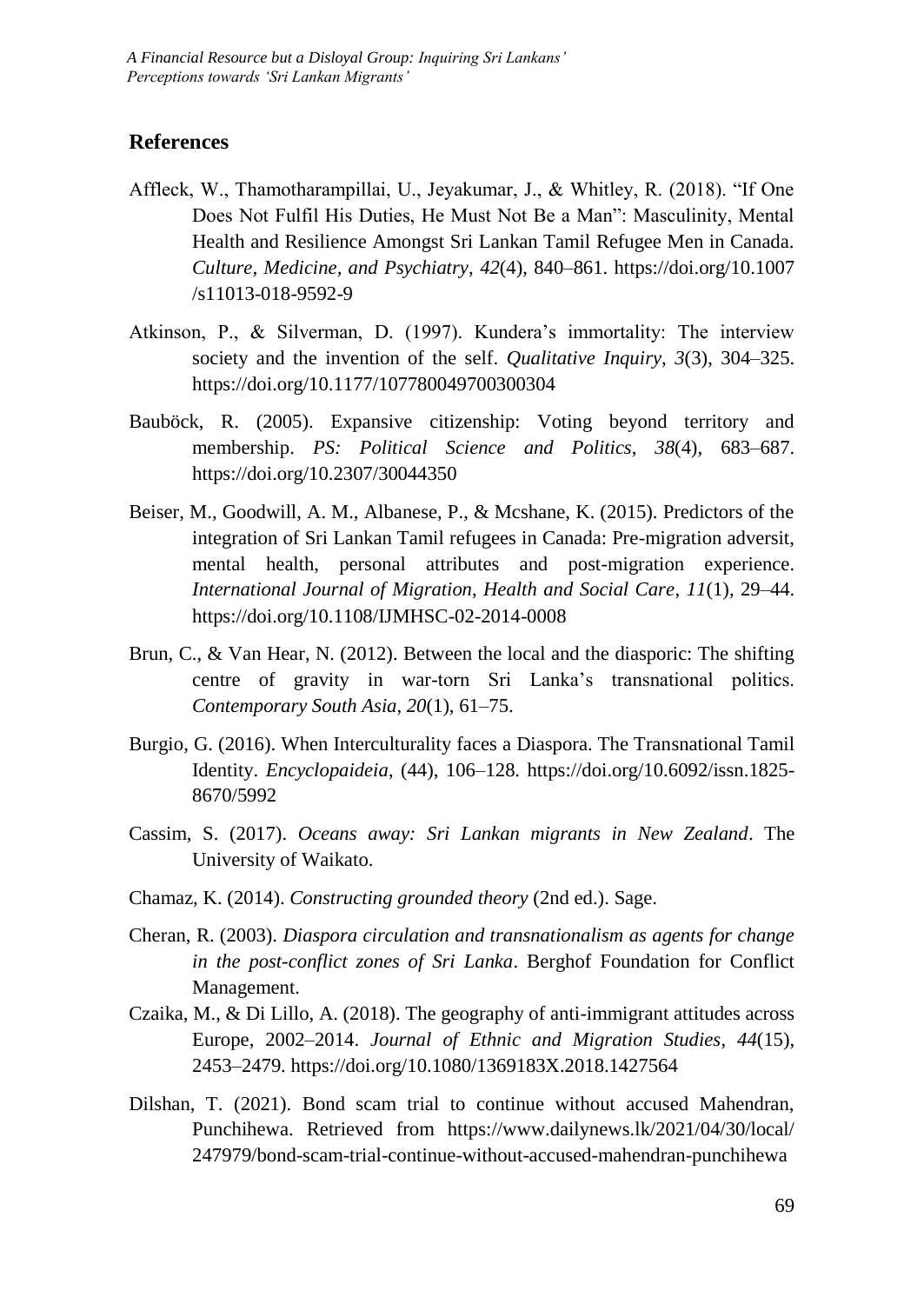### **References**

- Affleck, W., Thamotharampillai, U., Jeyakumar, J., & Whitley, R. (2018). "If One Does Not Fulfil His Duties, He Must Not Be a Man": Masculinity, Mental Health and Resilience Amongst Sri Lankan Tamil Refugee Men in Canada. *Culture, Medicine, and Psychiatry*, *42*(4), 840–861. https://doi.org/10.1007 /s11013-018-9592-9
- Atkinson, P., & Silverman, D. (1997). Kundera's immortality: The interview society and the invention of the self. *Qualitative Inquiry*, *3*(3), 304–325. https://doi.org/10.1177/107780049700300304
- Bauböck, R. (2005). Expansive citizenship: Voting beyond territory and membership. *PS: Political Science and Politics*, *38*(4), 683–687. https://doi.org/10.2307/30044350
- Beiser, M., Goodwill, A. M., Albanese, P., & Mcshane, K. (2015). Predictors of the integration of Sri Lankan Tamil refugees in Canada: Pre-migration adversit, mental health, personal attributes and post-migration experience. *International Journal of Migration, Health and Social Care*, *11*(1), 29–44. https://doi.org/10.1108/IJMHSC-02-2014-0008
- Brun, C., & Van Hear, N. (2012). Between the local and the diasporic: The shifting centre of gravity in war-torn Sri Lanka's transnational politics. *Contemporary South Asia*, *20*(1), 61–75.
- Burgio, G. (2016). When Interculturality faces a Diaspora. The Transnational Tamil Identity. *Encyclopaideia*, (44), 106–128. https://doi.org/10.6092/issn.1825- 8670/5992
- Cassim, S. (2017). *Oceans away: Sri Lankan migrants in New Zealand*. The University of Waikato.
- Chamaz, K. (2014). *Constructing grounded theory* (2nd ed.). Sage.
- Cheran, R. (2003). *Diaspora circulation and transnationalism as agents for change in the post-conflict zones of Sri Lanka*. Berghof Foundation for Conflict Management.
- Czaika, M., & Di Lillo, A. (2018). The geography of anti-immigrant attitudes across Europe, 2002–2014. *Journal of Ethnic and Migration Studies*, *44*(15), 2453–2479. https://doi.org/10.1080/1369183X.2018.1427564
- Dilshan, T. (2021). Bond scam trial to continue without accused Mahendran, Punchihewa. Retrieved from https://www.dailynews.lk/2021/04/30/local/ 247979/bond-scam-trial-continue-without-accused-mahendran-punchihewa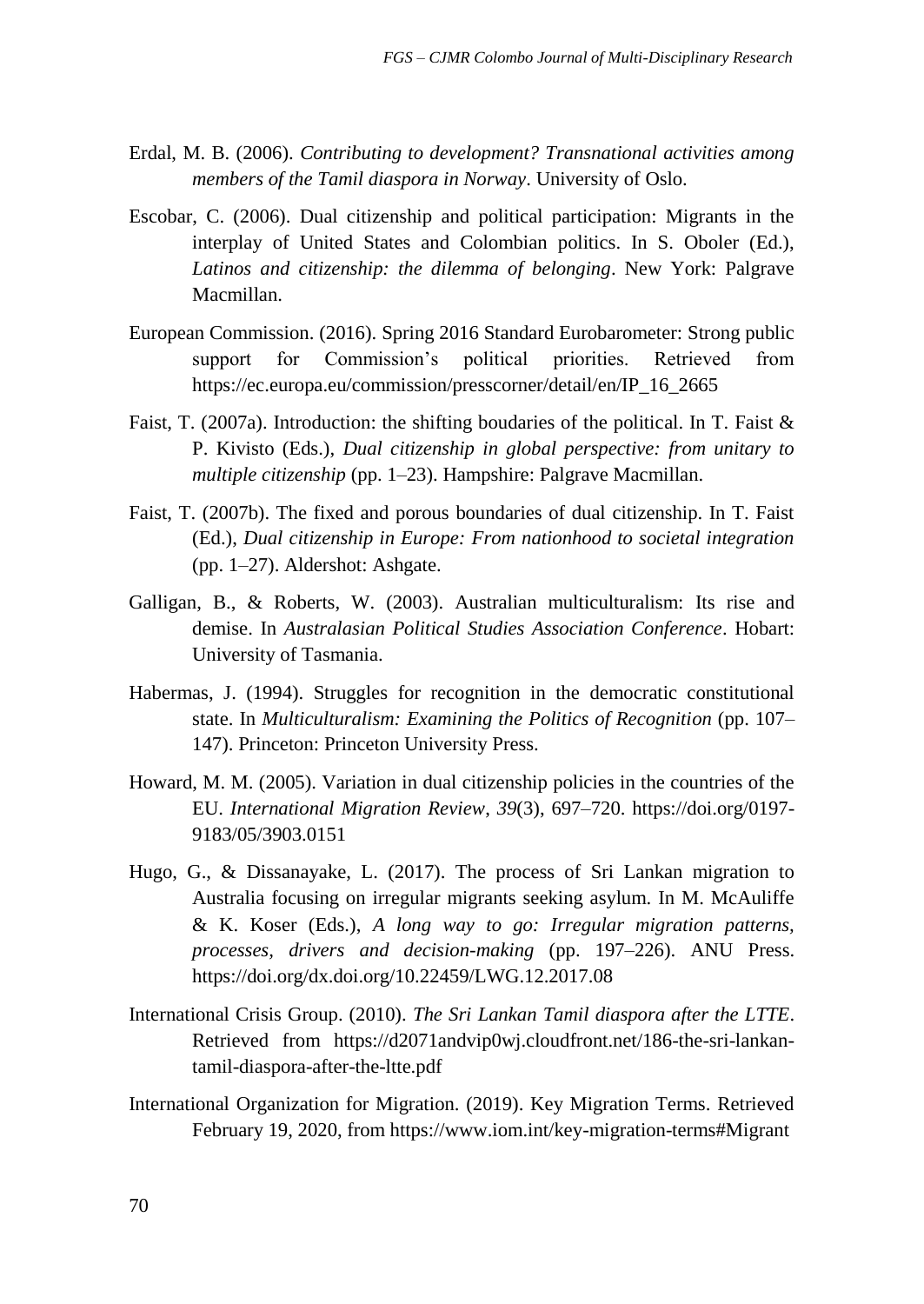- Erdal, M. B. (2006). *Contributing to development? Transnational activities among members of the Tamil diaspora in Norway*. University of Oslo.
- Escobar, C. (2006). Dual citizenship and political participation: Migrants in the interplay of United States and Colombian politics. In S. Oboler (Ed.), *Latinos and citizenship: the dilemma of belonging*. New York: Palgrave Macmillan.
- European Commission. (2016). Spring 2016 Standard Eurobarometer: Strong public support for Commission's political priorities. Retrieved from https://ec.europa.eu/commission/presscorner/detail/en/IP\_16\_2665
- Faist, T. (2007a). Introduction: the shifting boudaries of the political. In T. Faist & P. Kivisto (Eds.), *Dual citizenship in global perspective: from unitary to multiple citizenship* (pp. 1–23). Hampshire: Palgrave Macmillan.
- Faist, T. (2007b). The fixed and porous boundaries of dual citizenship. In T. Faist (Ed.), *Dual citizenship in Europe: From nationhood to societal integration* (pp. 1–27). Aldershot: Ashgate.
- Galligan, B., & Roberts, W. (2003). Australian multiculturalism: Its rise and demise. In *Australasian Political Studies Association Conference*. Hobart: University of Tasmania.
- Habermas, J. (1994). Struggles for recognition in the democratic constitutional state. In *Multiculturalism: Examining the Politics of Recognition* (pp. 107– 147). Princeton: Princeton University Press.
- Howard, M. M. (2005). Variation in dual citizenship policies in the countries of the EU. *International Migration Review*, *39*(3), 697–720. https://doi.org/0197- 9183/05/3903.0151
- Hugo, G., & Dissanayake, L. (2017). The process of Sri Lankan migration to Australia focusing on irregular migrants seeking asylum. In M. McAuliffe & K. Koser (Eds.), *A long way to go: Irregular migration patterns, processes, drivers and decision-making* (pp. 197–226). ANU Press. https://doi.org/dx.doi.org/10.22459/LWG.12.2017.08
- International Crisis Group. (2010). *The Sri Lankan Tamil diaspora after the LTTE*. Retrieved from https://d2071andvip0wj.cloudfront.net/186-the-sri-lankantamil-diaspora-after-the-ltte.pdf
- International Organization for Migration. (2019). Key Migration Terms. Retrieved February 19, 2020, from https://www.iom.int/key-migration-terms#Migrant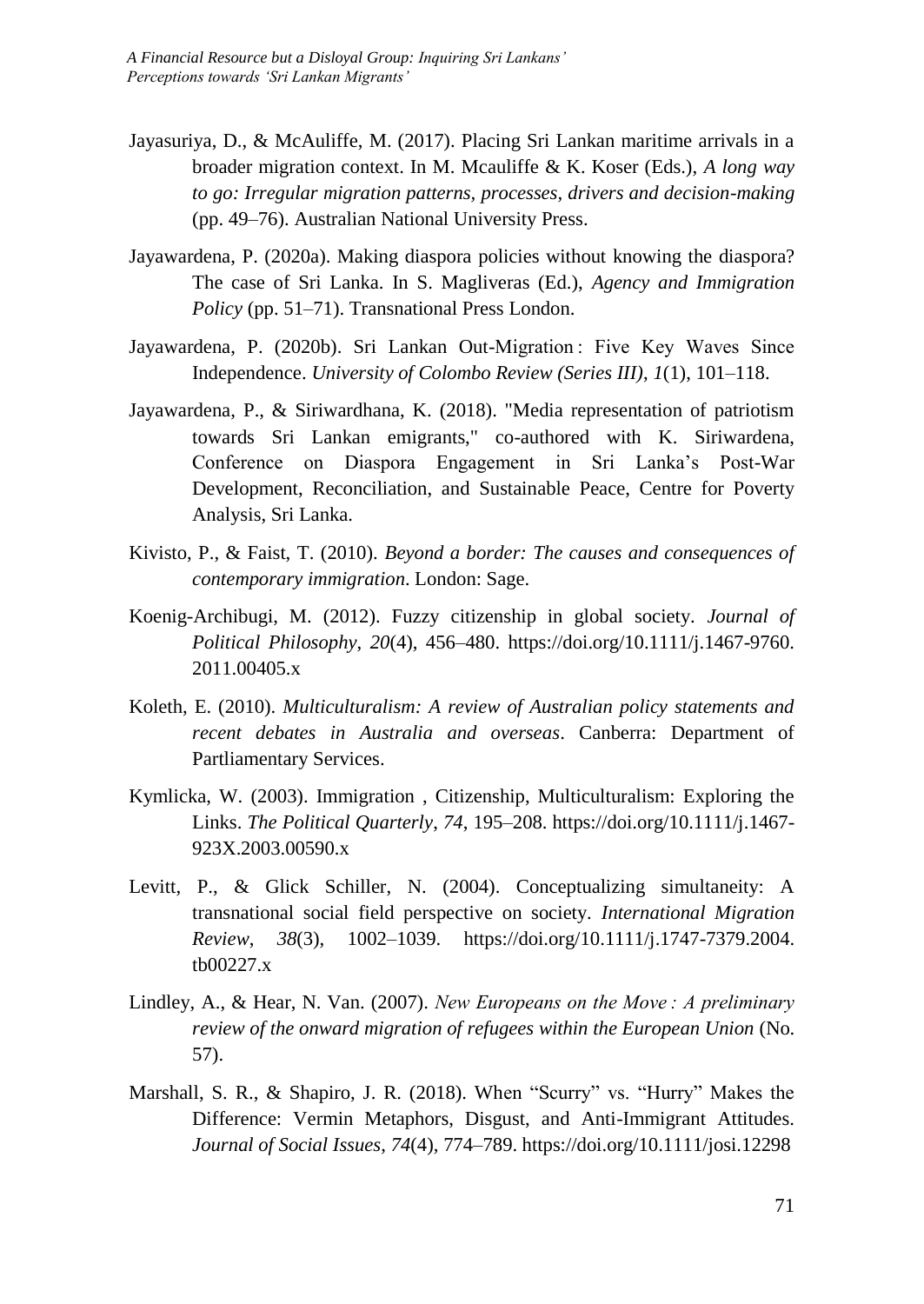- Jayasuriya, D., & McAuliffe, M. (2017). Placing Sri Lankan maritime arrivals in a broader migration context. In M. Mcauliffe & K. Koser (Eds.), *A long way to go: Irregular migration patterns, processes, drivers and decision-making* (pp. 49–76). Australian National University Press.
- Jayawardena, P. (2020a). Making diaspora policies without knowing the diaspora? The case of Sri Lanka. In S. Magliveras (Ed.), *Agency and Immigration Policy* (pp. 51–71). Transnational Press London.
- Jayawardena, P. (2020b). Sri Lankan Out-Migration : Five Key Waves Since Independence. *University of Colombo Review (Series III)*, *1*(1), 101–118.
- Jayawardena, P., & Siriwardhana, K. (2018). "Media representation of patriotism towards Sri Lankan emigrants," co-authored with K. Siriwardena, Conference on Diaspora Engagement in Sri Lanka's Post-War Development, Reconciliation, and Sustainable Peace, Centre for Poverty Analysis, Sri Lanka.
- Kivisto, P., & Faist, T. (2010). *Beyond a border: The causes and consequences of contemporary immigration*. London: Sage.
- Koenig-Archibugi, M. (2012). Fuzzy citizenship in global society. *Journal of Political Philosophy*, *20*(4), 456–480. https://doi.org/10.1111/j.1467-9760. 2011.00405.x
- Koleth, E. (2010). *Multiculturalism: A review of Australian policy statements and recent debates in Australia and overseas*. Canberra: Department of Partliamentary Services.
- Kymlicka, W. (2003). Immigration , Citizenship, Multiculturalism: Exploring the Links. *The Political Quarterly*, *74*, 195–208. https://doi.org/10.1111/j.1467- 923X.2003.00590.x
- Levitt, P., & Glick Schiller, N. (2004). Conceptualizing simultaneity: A transnational social field perspective on society. *International Migration Review*, *38*(3), 1002–1039. https://doi.org/10.1111/j.1747-7379.2004. tb00227.x
- Lindley, A., & Hear, N. Van. (2007). *New Europeans on the Move : A preliminary review of the onward migration of refugees within the European Union* (No. 57).
- Marshall, S. R., & Shapiro, J. R. (2018). When "Scurry" vs. "Hurry" Makes the Difference: Vermin Metaphors, Disgust, and Anti-Immigrant Attitudes. *Journal of Social Issues*, *74*(4), 774–789. https://doi.org/10.1111/josi.12298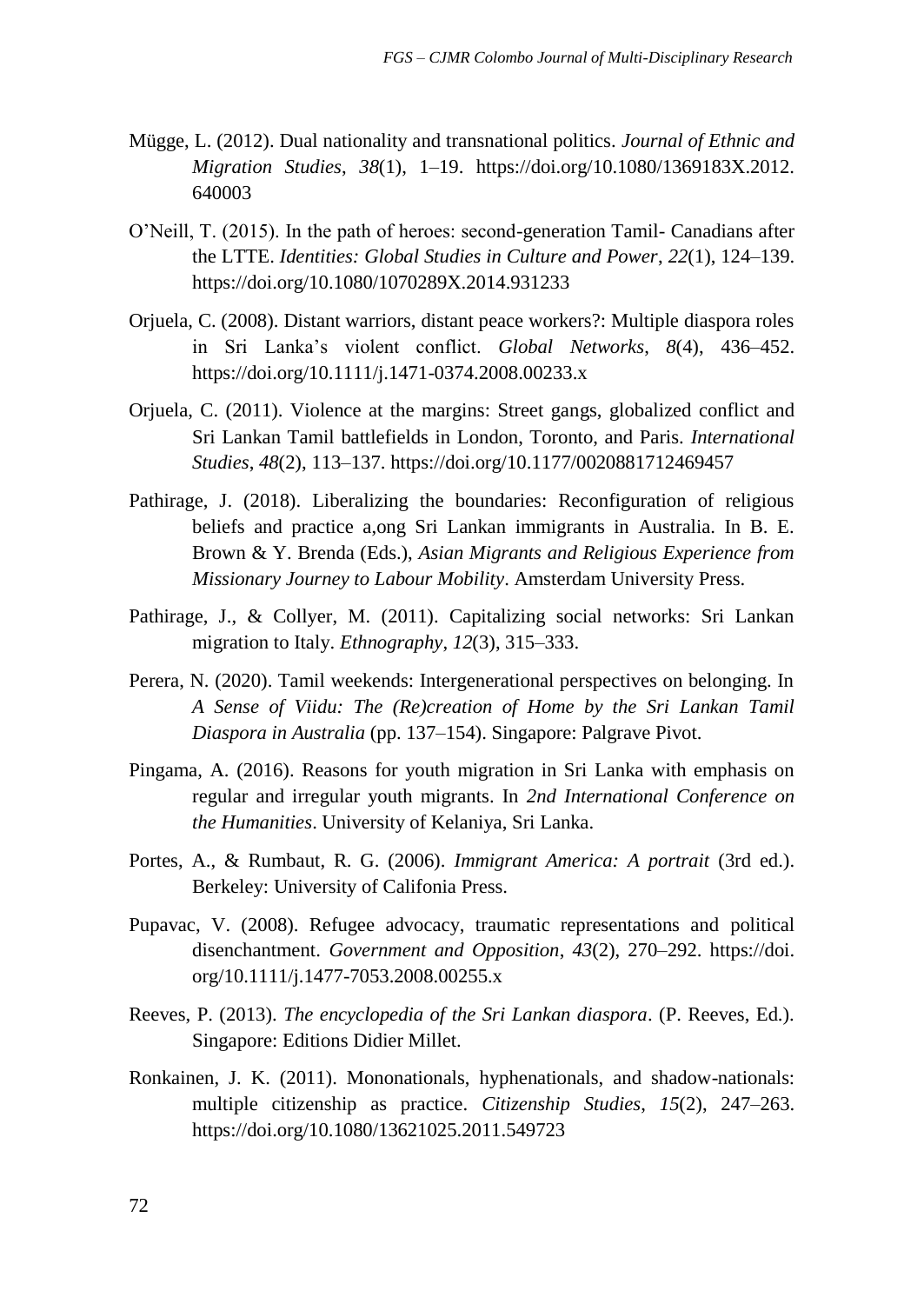- Mügge, L. (2012). Dual nationality and transnational politics. *Journal of Ethnic and Migration Studies*, *38*(1), 1–19. https://doi.org/10.1080/1369183X.2012. 640003
- O'Neill, T. (2015). In the path of heroes: second-generation Tamil- Canadians after the LTTE. *Identities: Global Studies in Culture and Power*, *22*(1), 124–139. https://doi.org/10.1080/1070289X.2014.931233
- Orjuela, C. (2008). Distant warriors, distant peace workers?: Multiple diaspora roles in Sri Lanka's violent conflict. *Global Networks*, *8*(4), 436–452. https://doi.org/10.1111/j.1471-0374.2008.00233.x
- Orjuela, C. (2011). Violence at the margins: Street gangs, globalized conflict and Sri Lankan Tamil battlefields in London, Toronto, and Paris. *International Studies*, *48*(2), 113–137. https://doi.org/10.1177/0020881712469457
- Pathirage, J. (2018). Liberalizing the boundaries: Reconfiguration of religious beliefs and practice a,ong Sri Lankan immigrants in Australia. In B. E. Brown & Y. Brenda (Eds.), *Asian Migrants and Religious Experience from Missionary Journey to Labour Mobility*. Amsterdam University Press.
- Pathirage, J., & Collyer, M. (2011). Capitalizing social networks: Sri Lankan migration to Italy. *Ethnography*, *12*(3), 315–333.
- Perera, N. (2020). Tamil weekends: Intergenerational perspectives on belonging. In *A Sense of Viidu: The (Re)creation of Home by the Sri Lankan Tamil Diaspora in Australia* (pp. 137–154). Singapore: Palgrave Pivot.
- Pingama, A. (2016). Reasons for youth migration in Sri Lanka with emphasis on regular and irregular youth migrants. In *2nd International Conference on the Humanities*. University of Kelaniya, Sri Lanka.
- Portes, A., & Rumbaut, R. G. (2006). *Immigrant America: A portrait* (3rd ed.). Berkeley: University of Califonia Press.
- Pupavac, V. (2008). Refugee advocacy, traumatic representations and political disenchantment. *Government and Opposition*, *43*(2), 270–292. https://doi. org/10.1111/j.1477-7053.2008.00255.x
- Reeves, P. (2013). *The encyclopedia of the Sri Lankan diaspora*. (P. Reeves, Ed.). Singapore: Editions Didier Millet.
- Ronkainen, J. K. (2011). Mononationals, hyphenationals, and shadow-nationals: multiple citizenship as practice. *Citizenship Studies*, *15*(2), 247–263. https://doi.org/10.1080/13621025.2011.549723